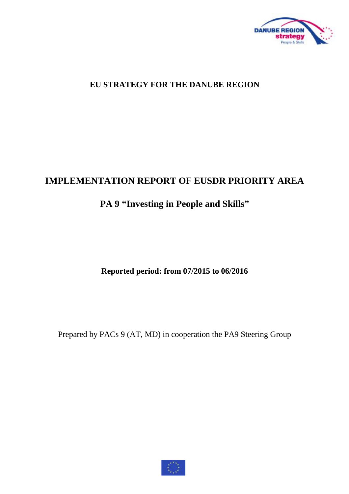

## **EU STRATEGY FOR THE DANUBE REGION**

# **IMPLEMENTATION REPORT OF EUSDR PRIORITY AREA**

# **PA 9 "Investing in People and Skills"**

**Reported period: from 07/2015 to 06/2016** 

Prepared by PACs 9 (AT, MD) in cooperation the PA9 Steering Group

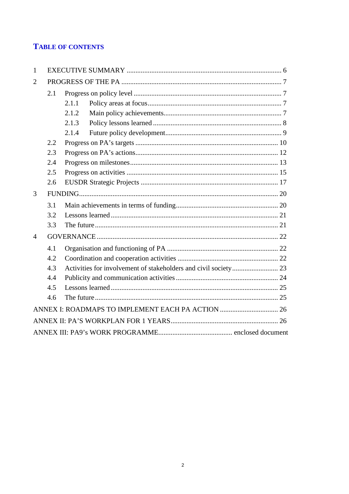## **TABLE OF CONTENTS**

| 1              |     |       |  |
|----------------|-----|-------|--|
| $\overline{2}$ |     |       |  |
|                | 2.1 |       |  |
|                |     | 2.1.1 |  |
|                |     | 2.1.2 |  |
|                |     | 2.1.3 |  |
|                |     | 2.1.4 |  |
|                | 2.2 |       |  |
|                | 2.3 |       |  |
|                | 2.4 |       |  |
|                | 2.5 |       |  |
|                | 2.6 |       |  |
| 3              |     |       |  |
|                | 3.1 |       |  |
|                | 3.2 |       |  |
|                | 3.3 |       |  |
| 4              |     |       |  |
|                | 4.1 |       |  |
|                | 4.2 |       |  |
|                | 4.3 |       |  |
|                | 4.4 |       |  |
|                | 4.5 |       |  |
|                | 4.6 |       |  |
|                |     |       |  |
|                |     |       |  |
|                |     |       |  |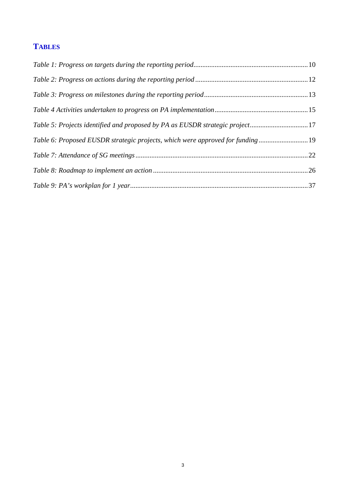# **TABLES**

| Table 5: Projects identified and proposed by PA as EUSDR strategic project17   |  |
|--------------------------------------------------------------------------------|--|
| Table 6: Proposed EUSDR strategic projects, which were approved for funding 19 |  |
|                                                                                |  |
|                                                                                |  |
|                                                                                |  |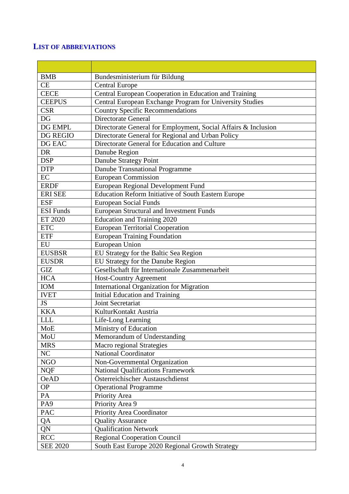## **LIST OF ABBREVIATIONS**

| <b>BMB</b>       | Bundesministerium für Bildung                                  |
|------------------|----------------------------------------------------------------|
| <b>CE</b>        | <b>Central Europe</b>                                          |
| <b>CECE</b>      | Central European Cooperation in Education and Training         |
| <b>CEEPUS</b>    | Central European Exchange Program for University Studies       |
| <b>CSR</b>       | <b>Country Specific Recommendations</b>                        |
| DG               | Directorate General                                            |
| DG EMPL          | Directorate General for Employment, Social Affairs & Inclusion |
| <b>DG REGIO</b>  | Directorate General for Regional and Urban Policy              |
| DG EAC           | Directorate General for Education and Culture                  |
| <b>DR</b>        | Danube Region                                                  |
| <b>DSP</b>       | Danube Strategy Point                                          |
| <b>DTP</b>       | Danube Transnational Programme                                 |
| EC               | European Commission                                            |
| <b>ERDF</b>      | European Regional Development Fund                             |
| <b>ERI SEE</b>   | <b>Education Reform Initiative of South Eastern Europe</b>     |
| <b>ESF</b>       | <b>European Social Funds</b>                                   |
| <b>ESI</b> Funds | <b>European Structural and Investment Funds</b>                |
| ET 2020          | <b>Education and Training 2020</b>                             |
| <b>ETC</b>       | <b>European Territorial Cooperation</b>                        |
| <b>ETF</b>       | <b>European Training Foundation</b>                            |
| EU               | European Union                                                 |
| <b>EUSBSR</b>    | EU Strategy for the Baltic Sea Region                          |
| <b>EUSDR</b>     | EU Strategy for the Danube Region                              |
| <b>GIZ</b>       | Gesellschaft für Internationale Zusammenarbeit                 |
| <b>HCA</b>       | <b>Host-Country Agreement</b>                                  |
| <b>IOM</b>       | International Organization for Migration                       |
| <b>IVET</b>      | <b>Initial Education and Training</b>                          |
| <b>JS</b>        | Joint Secretariat                                              |
| <b>KKA</b>       | KulturKontakt Austria                                          |
| <b>LLL</b>       | Life-Long Learning                                             |
| <b>MoE</b>       | Ministry of Education                                          |
| MoU              | Memorandum of Understanding                                    |
| <b>MRS</b>       | Macro regional Strategies                                      |
| NC               | <b>National Coordinator</b>                                    |
| <b>NGO</b>       | Non-Governmental Organization                                  |
| <b>NQF</b>       | <b>National Qualifications Framework</b>                       |
| <b>OeAD</b>      | Österreichischer Austauschdienst                               |
| <b>OP</b>        | <b>Operational Programme</b>                                   |
| PA               | Priority Area                                                  |
| PA <sub>9</sub>  | Priority Area 9                                                |
| PAC              | Priority Area Coordinator                                      |
| QA               | <b>Quality Assurance</b>                                       |
| QN               | <b>Qualification Network</b>                                   |
| <b>RCC</b>       | <b>Regional Cooperation Council</b>                            |
| <b>SEE 2020</b>  | South East Europe 2020 Regional Growth Strategy                |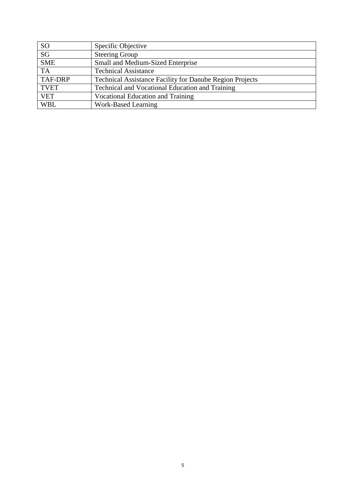| <b>SO</b>              | Specific Objective                                              |
|------------------------|-----------------------------------------------------------------|
| $\overline{\text{SG}}$ | <b>Steering Group</b>                                           |
| <b>SME</b>             | Small and Medium-Sized Enterprise                               |
| <b>TA</b>              | <b>Technical Assistance</b>                                     |
| TAF-DRP                | <b>Technical Assistance Facility for Danube Region Projects</b> |
| <b>TVET</b>            | <b>Technical and Vocational Education and Training</b>          |
| <b>VET</b>             | Vocational Education and Training                               |
| <b>WBL</b>             | Work-Based Learning                                             |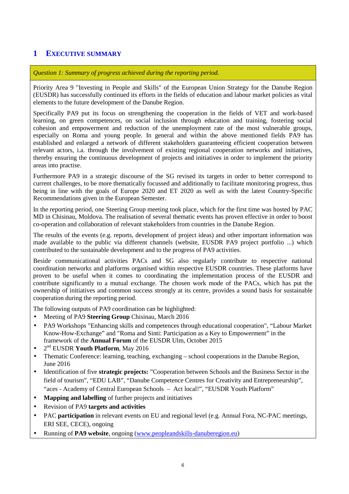## **1 EXECUTIVE SUMMARY**

*Question 1: Summary of progress achieved during the reporting period.* 

Priority Area 9 "Investing in People and Skills" of the European Union Strategy for the Danube Region (EUSDR) has successfully continued its efforts in the fields of education and labour market policies as vital elements to the future development of the Danube Region.

Specifically PA9 put its focus on strengthening the cooperation in the fields of VET and work-based learning, on green competences, on social inclusion through education and training, fostering social cohesion and empowerment and reduction of the unemployment rate of the most vulnerable groups, especially on Roma and young people. In general and within the above mentioned fields PA9 has established and enlarged a network of different stakeholders guaranteeing efficient cooperation between relevant actors, i.a. through the involvement of existing regional cooperation networks and initiatives, thereby ensuring the continuous development of projects and initiatives in order to implement the priority areas into practise.

Furthermore PA9 in a strategic discourse of the SG revised its targets in order to better correspond to current challenges, to be more thematically focussed and additionally to facilitate monitoring progress, thus being in line with the goals of Europe 2020 and ET 2020 as well as with the latest Country-Specific Recommendations given in the European Semester.

In the reporting period, one Steering Group meeting took place, which for the first time was hosted by PAC MD in Chisinau, Moldova. The realisation of several thematic events has proven effective in order to boost co-operation and collaboration of relevant stakeholders from countries in the Danube Region.

The results of the events (e.g. reports, development of project ideas) and other important information was made available to the public via different channels (website, EUSDR PA9 project portfolio ...) which contributed to the sustainable development and to the progress of PA9 activities.

Beside communicational activities PACs and SG also regularly contribute to respective national coordination networks and platforms organised within respective EUSDR countries. These platforms have proven to be useful when it comes to coordinating the implementation process of the EUSDR and contribute significantly to a mutual exchange. The chosen work mode of the PACs, which has put the ownership of initiatives and common success strongly at its centre, provides a sound basis for sustainable cooperation during the reporting period.

The following outputs of PA9 coordination can be highlighted:

- Meeting of PA9 **Steering Group** Chisinau, March 2016
- PA9 Workshops "Enhancing skills and competences through educational cooperation", "Labour Market Know-How-Exchange" and "Roma and Sinti: Participation as a Key to Empowerment" in the framework of the **Annual Forum** of the EUSDR Ulm, October 2015
- 2 nd EUSDR **Youth Platform**, May 2016
- Thematic Conference: learning, teaching, exchanging school cooperations in the Danube Region, June 2016
- Identification of five **strategic projects:** "Cooperation between Schools and the Business Sector in the field of tourism", "EDU LAB", "Danube Competence Centres for Creativity and Entrepreneurship", "aces - Academy of Central European Schools – Act local!", "EUSDR Youth Platform"
- **Mapping and labelling** of further projects and initiatives
- Revision of PA9 **targets and activities**
- PAC **participation** in relevant events on EU and regional level (e.g. Annual Fora, NC-PAC meetings, ERI SEE, CECE), ongoing
- Running of **PA9 website**, ongoing ([www.peopleandskills-danuberegion.eu\)](http://www.peopleandskills-danuberegion.eu)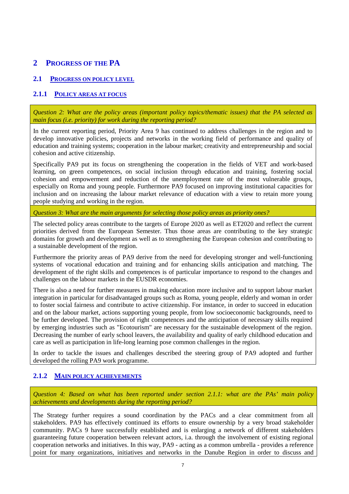## **2 PROGRESS OF THE PA**

## **2.1 PROGRESS ON POLICY LEVEL**

### **2.1.1 POLICY AREAS AT FOCUS**

*Question 2: What are the policy areas (important policy topics/thematic issues) that the PA selected as main focus (i.e. priority) for work during the reporting period?* 

In the current reporting period, Priority Area 9 has continued to address challenges in the region and to develop innovative policies, projects and networks in the working field of performance and quality of education and training systems; cooperation in the labour market; creativity and entrepreneurship and social cohesion and active citizenship.

Specifically PA9 put its focus on strengthening the cooperation in the fields of VET and work-based learning, on green competences, on social inclusion through education and training, fostering social cohesion and empowerment and reduction of the unemployment rate of the most vulnerable groups, especially on Roma and young people. Furthermore PA9 focused on improving institutional capacities for inclusion and on increasing the labour market relevance of education with a view to retain more young people studying and working in the region.

*Question 3: What are the main arguments for selecting those policy areas as priority ones?* 

The selected policy areas contribute to the targets of Europe 2020 as well as ET2020 and reflect the current priorities derived from the European Semester. Thus those areas are contributing to the key strategic domains for growth and development as well as to strengthening the European cohesion and contributing to a sustainable development of the region.

Furthermore the priority areas of PA9 derive from the need for developing stronger and well-functioning systems of vocational education and training and for enhancing skills anticipation and matching. The development of the right skills and competences is of particular importance to respond to the changes and challenges on the labour markets in the EUSDR economies.

There is also a need for further measures in making education more inclusive and to support labour market integration in particular for disadvantaged groups such as Roma, young people, elderly and woman in order to foster social fairness and contribute to active citizenship. For instance, in order to succeed in education and on the labour market, actions supporting young people, from low socioeconomic backgrounds, need to be further developed. The provision of right competences and the anticipation of necessary skills required by emerging industries such as "Ecotourism" are necessary for the sustainable development of the region. Decreasing the number of early school leavers, the availability and quality of early childhood education and care as well as participation in life-long learning pose common challenges in the region.

In order to tackle the issues and challenges described the steering group of PA9 adopted and further developed the rolling PA9 work programme.

## **2.1.2 MAIN POLICY ACHIEVEMENTS**

*Question 4: Based on what has been reported under section 2.1.1: what are the PAs' main policy achievements and developments during the reporting period?* 

The Strategy further requires a sound coordination by the PACs and a clear commitment from all stakeholders. PA9 has effectively continued its efforts to ensure ownership by a very broad stakeholder community. PACs 9 have successfully established and is enlarging a network of different stakeholders guaranteeing future cooperation between relevant actors, i.a. through the involvement of existing regional cooperation networks and initiatives. In this way, PA9 - acting as a common umbrella - provides a reference point for many organizations, initiatives and networks in the Danube Region in order to discuss and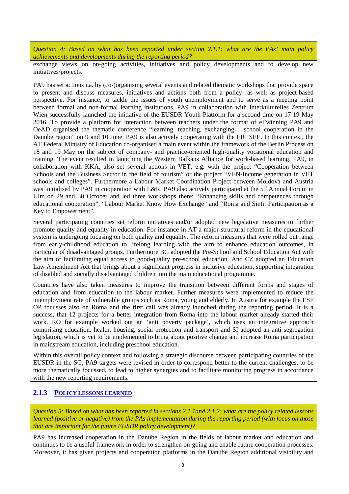*Question 4: Based on what has been reported under section 2.1.1: what are the PAs' main policy achievements and developments during the reporting period?* 

exchange views on on-going activities, initiatives and policy developments and to develop new initiatives/projects.

PA9 has set actions i.a. by (co-)organising several events and related thematic workshops that provide space to present and discuss measures, initiatives and actions both from a policy- as well as project-based perspective. For instance, to tackle the issues of youth unemployment and to serve as a meeting point between formal and non-formal learning institutions, PA9 in collaboration with Interkulturelles Zentrum Wien successfully launched the initiative of the EUSDR Youth Platform for a second time on 17-19 May 2016. To provide a platform for interaction between teachers under the format of eTwinning PA9 and OeAD organised the thematic conference "learning, teaching, exchanging – school cooperation in the Danube region" on 9 and 10 June. PA9 is also actively cooperating with the ERI SEE. In this context, the AT Federal Ministry of Education co-organised a main event within the framework of the Berlin Process on 18 and 19 May on the subject of company- and practice-oriented high-quality vocational education and training. The event resulted in launching the Western Balkans Alliance for work-based learning. PA9, in collaboration with KKA, also set several actions in VET, e.g. with the project "Cooperation between Schools and the Business Sector in the field of tourism" or the project "VEN-Income generation in VET schools and colleges". Furthermore a Labour Market Coordination Project between Moldova and Austria was initialised by PA9 in cooperation with L&R. PA9 also actively participated at the 5<sup>th</sup> Annual Forum in Ulm on 29 and 30 October and led three workshops there: "Enhancing skills and competences through educational cooperation", "Labour Market Know How Exchange" and "Roma and Sinti: Participation as a Key to Empowerment".

Several participating countries set reform initiatives and/or adopted new legislative measures to further promote quality and equality in education. For instance in AT a major structural reform in the educational system is undergoing focusing on both quality and equality. The reform measures that were rolled out range from early-childhood education to lifelong learning with the aim to enhance education outcomes, in particular of disadvantaged groups. Furthermore BG adopted the Pre-School and School Education Act with the aim of facilitating equal access to good-quality pre-school education. And CZ adopted an Education Law Amendment Act that brings about a significant progress in inclusive education, supporting integration of disabled and socially disadvantaged children into the main educational programme.

Countries have also taken measures to improve the transition between different forms and stages of education and from education to the labour market. Further measures were implemented to reduce the unemployment rate of vulnerable groups such as Roma, young and elderly. In Austria for example the ESF OP focusses also on Roma and the first call was already launched during the reporting period. It is a success, that 12 projects for a better integration from Roma into the labour market already started their work. RO for example worked out an 'anti poverty package', which uses an integrative approach comprising education, health, housing, social protection and transport and SI adopted an anti segregation legislation, which is yet to be implemented to bring about positive change and increase Roma participation in mainstream education, including preschool education.

Within this overall policy context and following a strategic discourse between participating countries of the EUSDR in the SG, PA9 targets were revised in order to correspond better to the current challenges, to be more thematically focussed, to lead to higher synergies and to facilitate monitoring progress in accordance with the new reporting requirements.

#### **2.1.3 POLICY LESSONS LEARNED**

*Question 5: Based on what has been reported in sections 2.1.1and 2.1.2: what are the policy related lessons learned (positive or negative) from the PAs implementation during the reporting period (with focus on those that are important for the future EUSDR policy development)?* 

PA9 has increased cooperation in the Danube Region in the fields of labour market and education and continues to be a useful framework in order to strengthen on-going and enable future cooperation processes. Moreover, it has given projects and cooperation platforms in the Danube Region additional visibility and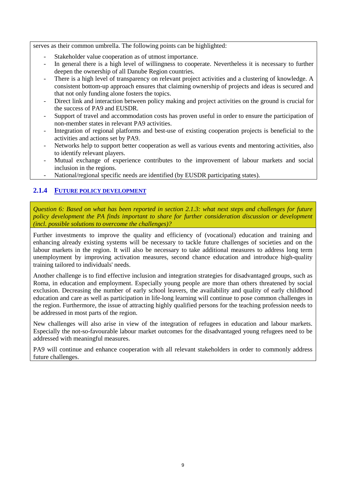serves as their common umbrella. The following points can be highlighted:

- Stakeholder value cooperation as of utmost importance.
- In general there is a high level of willingness to cooperate. Nevertheless it is necessary to further deepen the ownership of all Danube Region countries.
- There is a high level of transparency on relevant project activities and a clustering of knowledge. A consistent bottom-up approach ensures that claiming ownership of projects and ideas is secured and that not only funding alone fosters the topics.
- Direct link and interaction between policy making and project activities on the ground is crucial for the success of PA9 and EUSDR.
- Support of travel and accommodation costs has proven useful in order to ensure the participation of non-member states in relevant PA9 activities.
- Integration of regional platforms and best-use of existing cooperation projects is beneficial to the activities and actions set by PA9.
- Networks help to support better cooperation as well as various events and mentoring activities, also to identify relevant players.
- Mutual exchange of experience contributes to the improvement of labour markets and social inclusion in the regions.
- National/regional specific needs are identified (by EUSDR participating states).

## **2.1.4 FUTURE POLICY DEVELOPMENT**

Question 6: Based on what has been reported in section 2.1.3: what next steps and challenges for future *policy development the PA finds important to share for further consideration discussion or development (incl. possible solutions to overcome the challenges)?* 

Further investments to improve the quality and efficiency of (vocational) education and training and enhancing already existing systems will be necessary to tackle future challenges of societies and on the labour markets in the region. It will also be necessary to take additional measures to address long term unemployment by improving activation measures, second chance education and introduce high-quality training tailored to individuals' needs.

Another challenge is to find effective inclusion and integration strategies for disadvantaged groups, such as Roma, in education and employment. Especially young people are more than others threatened by social exclusion. Decreasing the number of early school leavers, the availability and quality of early childhood education and care as well as participation in life-long learning will continue to pose common challenges in the region. Furthermore, the issue of attracting highly qualified persons for the teaching profession needs to be addressed in most parts of the region.

New challenges will also arise in view of the integration of refugees in education and labour markets. Especially the not-so-favourable labour market outcomes for the disadvantaged young refugees need to be addressed with meaningful measures.

PA9 will continue and enhance cooperation with all relevant stakeholders in order to commonly address future challenges.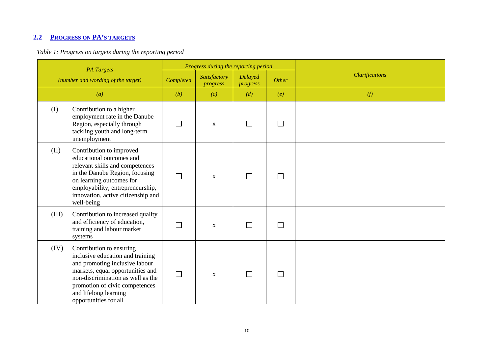# **2.2 PROGRESS ON PA'S TARGETS**

## *Table 1: Progress on targets during the reporting period*

| <b>PA</b> Targets<br>(number and wording of the target) |                                                                                                                                                                                                                                                             |                          | Progress during the reporting period |                            |       |                       |
|---------------------------------------------------------|-------------------------------------------------------------------------------------------------------------------------------------------------------------------------------------------------------------------------------------------------------------|--------------------------|--------------------------------------|----------------------------|-------|-----------------------|
|                                                         |                                                                                                                                                                                                                                                             | Completed                | Satisfactory<br>progress             | <b>Delayed</b><br>progress | Other | <b>Clarifications</b> |
|                                                         | $\left( a\right)$                                                                                                                                                                                                                                           | (b)                      | (c)                                  | (d)                        | (e)   | (f)                   |
| (I)                                                     | Contribution to a higher<br>employment rate in the Danube<br>Region, especially through<br>tackling youth and long-term<br>unemployment                                                                                                                     | $\overline{\phantom{a}}$ | $\mathbf X$                          | $\mathbf{I}$               |       |                       |
| (II)                                                    | Contribution to improved<br>educational outcomes and<br>relevant skills and competences<br>in the Danube Region, focusing<br>on learning outcomes for<br>employability, entrepreneurship,<br>innovation, active citizenship and<br>well-being               | $\overline{\phantom{a}}$ | $\mathbf{X}$                         |                            |       |                       |
| (III)                                                   | Contribution to increased quality<br>and efficiency of education,<br>training and labour market<br>systems                                                                                                                                                  |                          | $\mathbf X$                          |                            |       |                       |
| (IV)                                                    | Contribution to ensuring<br>inclusive education and training<br>and promoting inclusive labour<br>markets, equal opportunities and<br>non-discrimination as well as the<br>promotion of civic competences<br>and lifelong learning<br>opportunities for all | $\Box$                   | $\mathbf X$                          |                            |       |                       |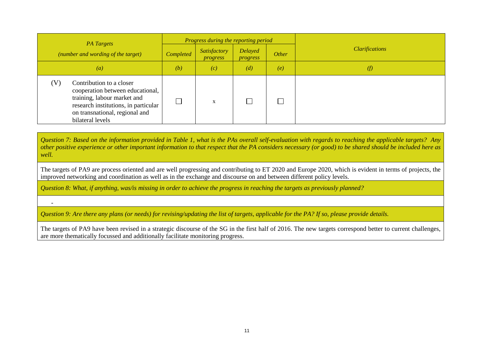| <b>PA</b> Targets                                                                                                                                                                                | Progress during the reporting period |                                 |                                   |       |                       |  |
|--------------------------------------------------------------------------------------------------------------------------------------------------------------------------------------------------|--------------------------------------|---------------------------------|-----------------------------------|-------|-----------------------|--|
| (number and wording of the target)                                                                                                                                                               | Completed                            | Satisfactory<br><i>progress</i> | <b>Delayed</b><br><i>progress</i> | Other | <b>Clarifications</b> |  |
| $\left( a\right)$                                                                                                                                                                                | (b)                                  | (c)                             | (d)                               | (e)   | (f)                   |  |
| (V)<br>Contribution to a closer<br>cooperation between educational,<br>training, labour market and<br>research institutions, in particular<br>on transnational, regional and<br>bilateral levels |                                      | X                               |                                   |       |                       |  |

Question 7: Based on the information provided in Table 1, what is the PAs overall self-evaluation with regards to reaching the applicable targets? Any other positive experience or other important information to that respect that the PA considers necessary (or good) to be shared should be included here as *well.* 

The targets of PA9 are process oriented and are well progressing and contributing to ET 2020 and Europe 2020, which is evident in terms of projects, the improved networking and coordination as well as in the exchange and discourse on and between different policy levels.

*Question 8: What, if anything, was/is missing in order to achieve the progress in reaching the targets as previously planned?* 

-

*Question 9: Are there any plans (or needs) for revising/updating the list of targets, applicable for the PA? If so, please provide details.* 

The targets of PA9 have been revised in a strategic discourse of the SG in the first half of 2016. The new targets correspond better to current challenges, are more thematically focussed and additionally facilitate monitoring progress.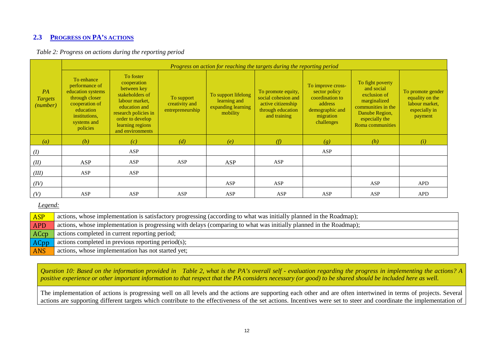### **2.3 PROGRESS ON PA'S ACTIONS**

| Table 2: Progress on actions during the reporting period |  |  |
|----------------------------------------------------------|--|--|
|                                                          |  |  |

|                                  | Progress on action for reaching the targets during the reporting period                                                                        |                                                                                                                                                                                   |                                                  |                                                                       |                                                                                                      |                                                                                                                |                                                                                                                                              |                                                                                    |  |  |
|----------------------------------|------------------------------------------------------------------------------------------------------------------------------------------------|-----------------------------------------------------------------------------------------------------------------------------------------------------------------------------------|--------------------------------------------------|-----------------------------------------------------------------------|------------------------------------------------------------------------------------------------------|----------------------------------------------------------------------------------------------------------------|----------------------------------------------------------------------------------------------------------------------------------------------|------------------------------------------------------------------------------------|--|--|
| PA<br><b>Targets</b><br>(number) | To enhance<br>performance of<br>education systems<br>through closer<br>cooperation of<br>education<br>institutions,<br>systems and<br>policies | To foster<br>cooperation<br>between key<br>stakeholders of<br>labour market,<br>education and<br>research policies in<br>order to develop<br>learning regions<br>and environments | To support<br>creativity and<br>entrepreneurship | To support lifelong<br>learning and<br>expanding learning<br>mobility | To promote equity,<br>social cohesion and<br>active citizenship<br>through education<br>and training | To improve cross-<br>sector policy<br>coordination to<br>address<br>demographic and<br>migration<br>challenges | To fight poverty<br>and social<br>exclusion of<br>marginalized<br>communities in the<br>Danube Region,<br>especially the<br>Roma communities | To promote gender<br>equality on the<br>labour market.<br>especially in<br>payment |  |  |
| $\left( a\right)$                | (b)                                                                                                                                            | (c)                                                                                                                                                                               | (d)                                              | (e)                                                                   | (f)                                                                                                  | (g)                                                                                                            | (h)                                                                                                                                          | (i)                                                                                |  |  |
| (I)                              |                                                                                                                                                | ASP                                                                                                                                                                               |                                                  |                                                                       |                                                                                                      | ASP                                                                                                            |                                                                                                                                              |                                                                                    |  |  |
| (II)                             | ASP                                                                                                                                            | <b>ASP</b>                                                                                                                                                                        | <b>ASP</b>                                       | ASP                                                                   | ASP                                                                                                  |                                                                                                                |                                                                                                                                              |                                                                                    |  |  |
| (III)                            | <b>ASP</b>                                                                                                                                     | ASP                                                                                                                                                                               |                                                  |                                                                       |                                                                                                      |                                                                                                                |                                                                                                                                              |                                                                                    |  |  |
| (IV)                             |                                                                                                                                                |                                                                                                                                                                                   |                                                  | ASP                                                                   | ASP                                                                                                  |                                                                                                                | ASP                                                                                                                                          | <b>APD</b>                                                                         |  |  |
| (V)                              | ASP                                                                                                                                            | ASP                                                                                                                                                                               | ASP                                              | ASP                                                                   | ASP                                                                                                  | ASP                                                                                                            | ASP                                                                                                                                          | <b>APD</b>                                                                         |  |  |

*Legend:* 

| <b>ASP</b> | actions, whose implementation is satisfactory progressing (according to what was initially planned in the Roadmap); |
|------------|---------------------------------------------------------------------------------------------------------------------|
| <b>APD</b> | actions, whose implementation is progressing with delays (comparing to what was initially planned in the Roadmap);  |
| ACcp       | actions completed in current reporting period;                                                                      |
| ACpp       | actions completed in previous reporting period(s);                                                                  |
| <b>ANS</b> | actions, whose implementation has not started yet;                                                                  |

Question 10: Based on the information provided in Table 2, what is the PA's overall self - evaluation regarding the progress in implementing the actions? A positive experience or other important information to that respect that the PA considers necessary (or good) to be shared should be included here as well.

The implementation of actions is progressing well on all levels and the actions are supporting each other and are often intertwined in terms of projects. Several actions are supporting different targets which contribute to the effectiveness of the set actions. Incentives were set to steer and coordinate the implementation of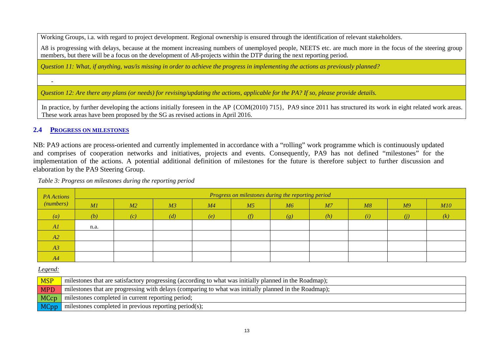Working Groups, i.a. with regard to project development. Regional ownership is ensured through the identification of relevant stakeholders.

A8 is progressing with delays, because at the moment increasing numbers of unemployed people. NEETS etc. are much more in the focus of the steering group members, but there will be a focus on the development of A8-projects within the DTP during the next reporting period.

*Question 11: What, if anything, was/is missing in order to achieve the progress in implementing the actions as previously planned?* 

*Question 12: Are there any plans (or needs) for revising/updating the actions, applicable for the PA? If so, please provide details.* 

In practice, by further developing the actions initially foreseen in the AP {COM(2010) 715}, PA9 since 2011 has structured its work in eight related work areas. These work areas have been proposed by the SG as revised actions in April 2016.

#### **2.4 PROGRESS ON MILESTONES**

-

NB: PA9 actions are process-oriented and currently implemented in accordance with a "rolling" work programme which is continuously updated and comprises of cooperation networks and initiatives, projects and events. Consequently, PA9 has not defined "milestones" for the implementation of the actions. A potential additional definition of milestones for the future is therefore subject to further discussion and elaboration by the PA9 Steering Group.

| PA Actions        |      |     |                |     |                | Progress on milestones during the reporting period |                |     |                |     |
|-------------------|------|-----|----------------|-----|----------------|----------------------------------------------------|----------------|-----|----------------|-----|
| (numbers)         | M1   | M2  | M <sub>3</sub> | M4  | M <sub>5</sub> | M6                                                 | M <sub>7</sub> | M8  | M <sup>9</sup> | M10 |
| $\left( a\right)$ | (b)  | (c) | (d)            | (e) | (f)            | (g)                                                | (h)            | (i) | (i)            | (k) |
| AI                | n.a. |     |                |     |                |                                                    |                |     |                |     |
| A2                |      |     |                |     |                |                                                    |                |     |                |     |
| A3                |      |     |                |     |                |                                                    |                |     |                |     |
| A4                |      |     |                |     |                |                                                    |                |     |                |     |

 *Table 3: Progress on milestones during the reporting period* 

*Legend:* 

| <b>MSP</b> | milestones that are satisfactory progressing (according to what was initially planned in the Roadmap); |
|------------|--------------------------------------------------------------------------------------------------------|
| <b>MPD</b> | milestones that are progressing with delays (comparing to what was initially planned in the Roadmap);  |
| MCcp       | milestones completed in current reporting period;                                                      |
| MCpp       | milestones completed in previous reporting period(s);                                                  |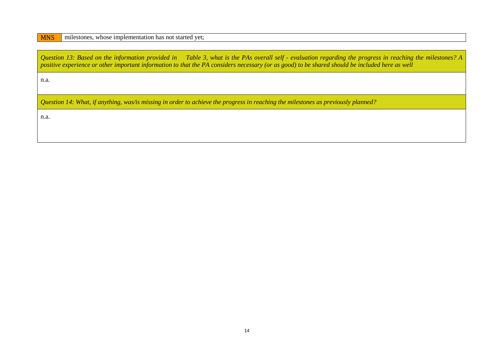## MNS milestones, whose implementation has not started yet;

| Question 13: Based on the information provided in Table 3, what is the PAs overall self - evaluation regarding the progress in reaching the milestones? A<br>positive experience or other important information to that the PA considers necessary (or as good) to be shared should be included here as well |
|--------------------------------------------------------------------------------------------------------------------------------------------------------------------------------------------------------------------------------------------------------------------------------------------------------------|
| n.a.                                                                                                                                                                                                                                                                                                         |
| Question 14: What, if anything, was/is missing in order to achieve the progress in reaching the milestones as previously planned?                                                                                                                                                                            |
| n.a.                                                                                                                                                                                                                                                                                                         |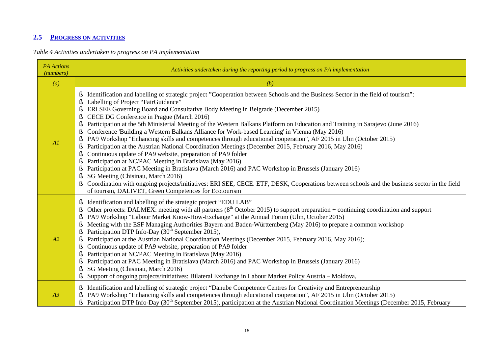## **2.5 PROGRESS ON ACTIVITIES**

*Table 4 Activities undertaken to progress on PA implementation* 

| <b>PA</b> Actions<br>(numbers) | Activities undertaken during the reporting period to progress on PA implementation                                                                                                                                                                                                                                                                                                                                                                                                                                                                                                                                                                                                                                                                                                                                                                                                                                                                                                                                                                                                                                                                                                                                                                                                                       |
|--------------------------------|----------------------------------------------------------------------------------------------------------------------------------------------------------------------------------------------------------------------------------------------------------------------------------------------------------------------------------------------------------------------------------------------------------------------------------------------------------------------------------------------------------------------------------------------------------------------------------------------------------------------------------------------------------------------------------------------------------------------------------------------------------------------------------------------------------------------------------------------------------------------------------------------------------------------------------------------------------------------------------------------------------------------------------------------------------------------------------------------------------------------------------------------------------------------------------------------------------------------------------------------------------------------------------------------------------|
| (a)                            | (b)                                                                                                                                                                                                                                                                                                                                                                                                                                                                                                                                                                                                                                                                                                                                                                                                                                                                                                                                                                                                                                                                                                                                                                                                                                                                                                      |
| AI                             | Identification and labelling of strategic project "Cooperation between Schools and the Business Sector in the field of tourism":<br>ş<br>Labelling of Project "FairGuidance"<br>ERI SEE Governing Board and Consultative Body Meeting in Belgrade (December 2015)<br>ş<br>CECE DG Conference in Prague (March 2016)<br>ş<br>Participation at the 5th Ministerial Meeting of the Western Balkans Platform on Education and Training in Sarajevo (June 2016)<br>ş<br>Conference 'Building a Western Balkans Alliance for Work-based Learning' in Vienna (May 2016)<br>ş<br>ş<br>PA9 Workshop "Enhancing skills and competences through educational cooperation", AF 2015 in Ulm (October 2015)<br>Participation at the Austrian National Coordination Meetings (December 2015, February 2016, May 2016)<br>Continuous update of PA9 website, preparation of PA9 folder<br>ş<br>Participation at NC/PAC Meeting in Bratislava (May 2016)<br>ş<br>Participation at PAC Meeting in Bratislava (March 2016) and PAC Workshop in Brussels (January 2016)<br>ş<br>SG Meeting (Chisinau, March 2016)<br>Coordination with ongoing projects/initiatives: ERI SEE, CECE. ETF, DESK, Cooperations between schools and the business sector in the field<br>ş<br>of tourism, DALIVET, Green Competences for Ecotourism |
| A2                             | Identification and labelling of the strategic project "EDU LAB"<br>ş<br>Other projects: DALMEX: meeting with all partners ( $8th$ October 2015) to support preparation + continuing coordination and support<br>ş<br>PA9 Workshop "Labour Market Know-How-Exchange" at the Annual Forum (Ulm, October 2015)<br>ş<br>Meeting with the ESF Managing Authorities Bayern and Baden-Württemberg (May 2016) to prepare a common workshop<br>ş<br>Participation DTP Info-Day (30 <sup>th</sup> September 2015),<br>Participation at the Austrian National Coordination Meetings (December 2015, February 2016, May 2016);<br>ş<br>Continuous update of PA9 website, preparation of PA9 folder<br>ş<br>Participation at NC/PAC Meeting in Bratislava (May 2016)<br>ş<br>Participation at PAC Meeting in Bratislava (March 2016) and PAC Workshop in Brussels (January 2016)<br>SG Meeting (Chisinau, March 2016)<br>ş<br>ş<br>Support of ongoing projects/initiatives: Bilateral Exchange in Labour Market Policy Austria - Moldova,                                                                                                                                                                                                                                                                             |
| A3                             | Identification and labelling of strategic project "Danube Competence Centres for Creativity and Entrepreneurship<br>PA9 Workshop "Enhancing skills and competences through educational cooperation", AF 2015 in Ulm (October 2015)<br>Participation DTP Info-Day (30 <sup>th</sup> September 2015), participation at the Austrian National Coordination Meetings (December 2015, February<br>ş                                                                                                                                                                                                                                                                                                                                                                                                                                                                                                                                                                                                                                                                                                                                                                                                                                                                                                           |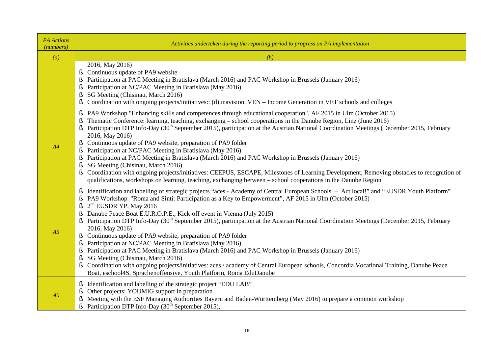| <b>PA</b> Actions<br>(numbers) | Activities undertaken during the reporting period to progress on PA implementation                                                                                                                                                                                                                                                                                                                                                                                                                                                                                                                                                                                                                                                                                                                                                                                                                                                                                                                                                                     |
|--------------------------------|--------------------------------------------------------------------------------------------------------------------------------------------------------------------------------------------------------------------------------------------------------------------------------------------------------------------------------------------------------------------------------------------------------------------------------------------------------------------------------------------------------------------------------------------------------------------------------------------------------------------------------------------------------------------------------------------------------------------------------------------------------------------------------------------------------------------------------------------------------------------------------------------------------------------------------------------------------------------------------------------------------------------------------------------------------|
| $\left( a\right)$              | (b)                                                                                                                                                                                                                                                                                                                                                                                                                                                                                                                                                                                                                                                                                                                                                                                                                                                                                                                                                                                                                                                    |
|                                | 2016, May 2016)<br>Continuous update of PA9 website<br>§.<br>Participation at PAC Meeting in Bratislava (March 2016) and PAC Workshop in Brussels (January 2016)<br>ş<br>Participation at NC/PAC Meeting in Bratislava (May 2016)<br>S<br>SG Meeting (Chisinau, March 2016)<br>Š<br>Coordination with ongoing projects/initiatives:: (d)unavision, VEN - Income Generation in VET schools and colleges<br>ş                                                                                                                                                                                                                                                                                                                                                                                                                                                                                                                                                                                                                                            |
| A4                             | § PA9 Workshop "Enhancing skills and competences through educational cooperation", AF 2015 in Ulm (October 2015)<br>Thematic Conference: learning, teaching, exchanging – school cooperations in the Danube Region, Linz (June 2016)<br>Ş<br>Participation DTP Info-Day (30 <sup>th</sup> September 2015), participation at the Austrian National Coordination Meetings (December 2015, February<br>2016, May 2016)<br>Continuous update of PA9 website, preparation of PA9 folder<br>Š.<br>Participation at NC/PAC Meeting in Bratislava (May 2016)<br>Š<br>Participation at PAC Meeting in Bratislava (March 2016) and PAC Workshop in Brussels (January 2016)<br>SG Meeting (Chisinau, March 2016)<br>S<br>Coordination with ongoing projects/initiatives: CEEPUS, ESCAPE, Milestones of Learning Development, Removing obstacles to recognition of<br>Š.<br>qualifications, workshops on learning, teaching, exchanging between – school cooperations in the Danube Region                                                                         |
| A <sub>5</sub>                 | § Identification and labelling of strategic projects "aces - Academy of Central European Schools - Act local!" and "EUSDR Youth Platform"<br>PA9 Workshop "Roma and Sinti: Participation as a Key to Empowerment", AF 2015 in Ulm (October 2015)<br>S<br>$2nd$ EUSDR YP, May 2016<br>ş<br>Danube Peace Boat E.U.R.O.P.E., Kick-off event in Vienna (July 2015)<br>ş<br>Participation DTP Info-Day (30 <sup>th</sup> September 2015), participation at the Austrian National Coordination Meetings (December 2015, February<br>2016, May 2016)<br>§ Continuous update of PA9 website, preparation of PA9 folder<br>Participation at NC/PAC Meeting in Bratislava (May 2016)<br>ş<br>Participation at PAC Meeting in Bratislava (March 2016) and PAC Workshop in Brussels (January 2016)<br>SG Meeting (Chisinau, March 2016)<br>ş<br>Coordination with ongoing projects/initiatives: aces / academy of Central European schools, Concordia Vocational Training, Danube Peace<br>ş<br>Boat, eschool4S, Sprachenoffensive, Youth Platform, Roma EduDanube |
| A6                             | Identification and labelling of the strategic project "EDU LAB"<br>S.<br>Other projects: YOUMIG support in preparation<br>Meeting with the ESF Managing Authorities Bayern and Baden-Württemberg (May 2016) to prepare a common workshop<br>Participation DTP Info-Day (30 <sup>th</sup> September 2015),<br>ş                                                                                                                                                                                                                                                                                                                                                                                                                                                                                                                                                                                                                                                                                                                                         |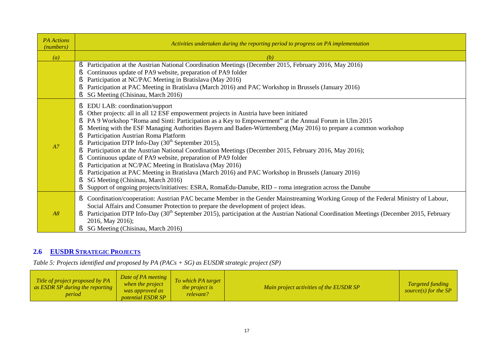| <b>PA</b> Actions<br>(numbers) | Activities undertaken during the reporting period to progress on PA implementation                                                                                                                                                                                                                                                                                                                                                                                                                                                                                                                                                                                                                                                                                                                                                                                                                                                                                                        |
|--------------------------------|-------------------------------------------------------------------------------------------------------------------------------------------------------------------------------------------------------------------------------------------------------------------------------------------------------------------------------------------------------------------------------------------------------------------------------------------------------------------------------------------------------------------------------------------------------------------------------------------------------------------------------------------------------------------------------------------------------------------------------------------------------------------------------------------------------------------------------------------------------------------------------------------------------------------------------------------------------------------------------------------|
| $\left( a\right)$              | (b)                                                                                                                                                                                                                                                                                                                                                                                                                                                                                                                                                                                                                                                                                                                                                                                                                                                                                                                                                                                       |
|                                | Participation at the Austrian National Coordination Meetings (December 2015, February 2016, May 2016)<br>ş<br>Continuous update of PA9 website, preparation of PA9 folder<br>Participation at NC/PAC Meeting in Bratislava (May 2016)<br>ş<br>Participation at PAC Meeting in Bratislava (March 2016) and PAC Workshop in Brussels (January 2016)<br>SG Meeting (Chisinau, March 2016)                                                                                                                                                                                                                                                                                                                                                                                                                                                                                                                                                                                                    |
| A7                             | EDU LAB: coordination/support<br>ş<br>Other projects: all in all 12 ESF empowerment projects in Austria have been initiated<br>Š<br>PA 9 Workshop "Roma and Sinti: Participation as a Key to Empowerment" at the Annual Forum in Ulm 2015<br>ş<br>Meeting with the ESF Managing Authorities Bayern and Baden-Württemberg (May 2016) to prepare a common workshop<br>ş<br>Participation Austrian Roma Platform<br>Participation DTP Info-Day (30 <sup>th</sup> September 2015),<br>Participation at the Austrian National Coordination Meetings (December 2015, February 2016, May 2016);<br>ş<br>Continuous update of PA9 website, preparation of PA9 folder<br>Participation at NC/PAC Meeting in Bratislava (May 2016)<br>ş<br>Participation at PAC Meeting in Bratislava (March 2016) and PAC Workshop in Brussels (January 2016)<br>SG Meeting (Chisinau, March 2016)<br>Support of ongoing projects/initiatives: ESRA, RomaEdu-Danube, RID – roma integration across the Danube<br>ş |
| A8                             | Coordination/cooperation: Austrian PAC became Member in the Gender Mainstreaming Working Group of the Federal Ministry of Labour,<br>Ş<br>Social Affairs and Consumer Protection to prepare the development of project ideas.<br>Participation DTP Info-Day (30 <sup>th</sup> September 2015), participation at the Austrian National Coordination Meetings (December 2015, February<br>2016, May 2016);<br>SG Meeting (Chisinau, March 2016)                                                                                                                                                                                                                                                                                                                                                                                                                                                                                                                                             |

## **2.6 EUSDR STRATEGIC PROJECTS**

*Table 5: Projects identified and proposed by PA (PACs + SG) as EUSDR strategic project (SP)* 

| Title of project proposed by PA<br>as ESDR SP during the reporting<br>period | Date of PA meeting<br>when the project<br>was approved as<br><i>potential ESDR SP</i> | To which PA target<br><i>the project is</i><br>relevant? | Main project activities of the EUSDR SP | <b>Targeted funding</b><br>source(s) for the $SP$ |
|------------------------------------------------------------------------------|---------------------------------------------------------------------------------------|----------------------------------------------------------|-----------------------------------------|---------------------------------------------------|
|------------------------------------------------------------------------------|---------------------------------------------------------------------------------------|----------------------------------------------------------|-----------------------------------------|---------------------------------------------------|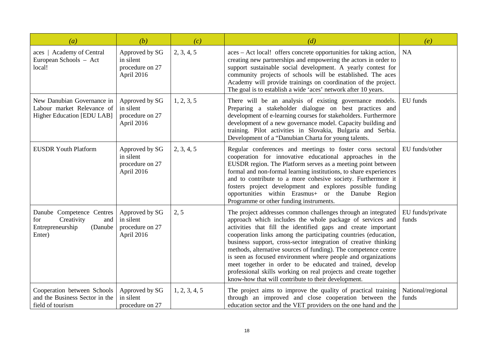| (a)                                                                                            | (b)                                                          | (c)           | (d)                                                                                                                                                                                                                                                                                                                                                                                                                                                                                                                                                                                                                                                            | (e)                        |
|------------------------------------------------------------------------------------------------|--------------------------------------------------------------|---------------|----------------------------------------------------------------------------------------------------------------------------------------------------------------------------------------------------------------------------------------------------------------------------------------------------------------------------------------------------------------------------------------------------------------------------------------------------------------------------------------------------------------------------------------------------------------------------------------------------------------------------------------------------------------|----------------------------|
| aces   Academy of Central<br>European Schools - Act<br>local!                                  | Approved by SG<br>in silent<br>procedure on 27<br>April 2016 | 2, 3, 4, 5    | aces - Act local! offers concrete opportunities for taking action,<br>creating new partnerships and empowering the actors in order to<br>support sustainable social development. A yearly contest for<br>community projects of schools will be established. The aces<br>Academy will provide trainings on coordination of the project.<br>The goal is to establish a wide 'aces' network after 10 years.                                                                                                                                                                                                                                                       | NA                         |
| New Danubian Governance in<br>Labour market Relevance of<br>Higher Education [EDU LAB]         | Approved by SG<br>in silent<br>procedure on 27<br>April 2016 | 1, 2, 3, 5    | There will be an analysis of existing governance models.<br>Preparing a stakeholder dialogue on best practices and<br>development of e-learning courses for stakeholders. Furthermore<br>development of a new governance model. Capacity building and<br>training. Pilot activities in Slovakia, Bulgaria and Serbia.<br>Development of a "Danubian Charta for young talents.                                                                                                                                                                                                                                                                                  | EU funds                   |
| <b>EUSDR Youth Platform</b>                                                                    | Approved by SG<br>in silent<br>procedure on 27<br>April 2016 | 2, 3, 4, 5    | Regular conferences and meetings to foster corss sectoral<br>cooperation for innovative educational approaches in the<br>EUSDR region. The Platform serves as a meeting point between<br>formal and non-formal learning institutions, to share experiences<br>and to contribute to a more cohesive society. Furthermore it<br>fosters project development and explores possible funding<br>opportunities within Erasmus+ or the Danube Region<br>Programme or other funding instruments.                                                                                                                                                                       | EU funds/other             |
| Danube Competence Centres<br>Creativity<br>for<br>and<br>Entrepreneurship<br>(Danube<br>Enter) | Approved by SG<br>in silent<br>procedure on 27<br>April 2016 | 2, 5          | The project addresses common challenges through an integrated<br>approach which includes the whole package of services and<br>activities that fill the identified gaps and create important<br>cooperation links among the participating countries (education,<br>business support, cross-sector integration of creative thinking<br>methods, alternative sources of funding). The competence centre<br>is seen as focused environment where people and organizations<br>meet together in order to be educated and trained, develop<br>professional skills working on real projects and create together<br>know-how that will contribute to their development. | EU funds/private<br>funds  |
| Cooperation between Schools<br>and the Business Sector in the<br>field of tourism              | Approved by SG<br>in silent<br>procedure on 27               | 1, 2, 3, 4, 5 | The project aims to improve the quality of practical training<br>through an improved and close cooperation between the<br>education sector and the VET providers on the one hand and the                                                                                                                                                                                                                                                                                                                                                                                                                                                                       | National/regional<br>funds |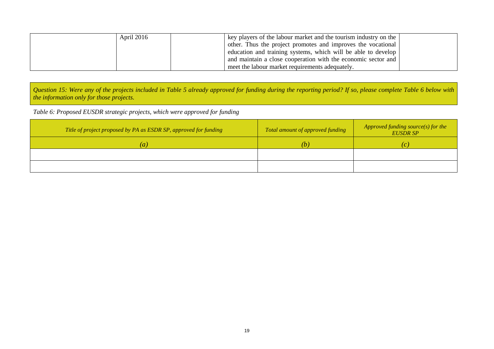| April 2016 | key players of the labour market and the tourism industry on the |  |
|------------|------------------------------------------------------------------|--|
|            | other. Thus the project promotes and improves the vocational     |  |
|            | education and training systems, which will be able to develop    |  |
|            | and maintain a close cooperation with the economic sector and    |  |
|            | meet the labour market requirements adequately.                  |  |

Question 15: Were any of the projects included in Table 5 already approved for funding during the reporting period? If so, please complete Table 6 below with *the information only for those projects.* 

*Table 6: Proposed EUSDR strategic projects, which were approved for funding* 

| Title of project proposed by PA as ESDR SP, approved for funding | Total amount of approved funding | Approved funding source(s) for the<br><b>EUSDR SP</b> |
|------------------------------------------------------------------|----------------------------------|-------------------------------------------------------|
| $\left(a\right)$                                                 | (b)                              |                                                       |
|                                                                  |                                  |                                                       |
|                                                                  |                                  |                                                       |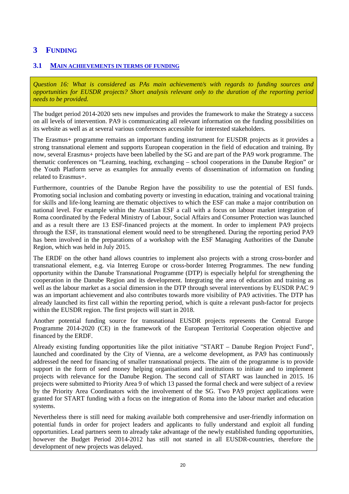## **3 FUNDING**

#### **3.1 MAIN ACHIEVEMENTS IN TERMS OF FUNDING**

*Question 16: What is considered as PAs main achievement/s with regards to funding sources and opportunities for EUSDR projects? Short analysis relevant only to the duration of the reporting period needs to be provided.* 

The budget period 2014-2020 sets new impulses and provides the framework to make the Strategy a success on all levels of intervention. PA9 is communicating all relevant information on the funding possibilities on its website as well as at several various conferences accessible for interested stakeholders.

The Erasmus+ programme remains an important funding instrument for EUSDR projects as it provides a strong transnational element and supports European cooperation in the field of education and training. By now, several Erasmus+ projects have been labelled by the SG and are part of the PA9 work programme. The thematic conferences on "Learning, teaching, exchanging – school cooperations in the Danube Region" or the Youth Platform serve as examples for annually events of dissemination of information on funding related to Erasmus+.

Furthermore, countries of the Danube Region have the possibility to use the potential of ESI funds. Promoting social inclusion and combating poverty or investing in education, training and vocational training for skills and life-long learning are thematic objectives to which the ESF can make a major contribution on national level. For example within the Austrian ESF a call with a focus on labour market integration of Roma coordinated by the Federal Ministry of Labour, Social Affairs and Consumer Protection was launched and as a result there are 13 ESF-financed projects at the moment. In order to implement PA9 projects through the ESF, its transnational element would need to be strengthened. During the reporting period PA9 has been involved in the preparations of a workshop with the ESF Managing Authorities of the Danube Region, which was held in July 2015.

The ERDF on the other hand allows countries to implement also projects with a strong cross-border and transnational element, e.g. via Interreg Europe or cross-border Interreg Programmes. The new funding opportunity within the Danube Transnational Programme (DTP) is especially helpful for strengthening the cooperation in the Danube Region and its development. Integrating the area of education and training as well as the labour market as a social dimension in the DTP through several interventions by EUSDR PAC 9 was an important achievement and also contributes towards more visibility of PA9 activities. The DTP has already launched its first call within the reporting period, which is quite a relevant push-factor for projects within the EUSDR region. The first projects will start in 2018.

Another potential funding source for transnational EUSDR projects represents the Central Europe Programme 2014-2020 (CE) in the framework of the European Territorial Cooperation objective and financed by the ERDF.

Already existing funding opportunities like the pilot initiative "START – Danube Region Project Fund", launched and coordinated by the City of Vienna, are a welcome development, as PA9 has continuously addressed the need for financing of smaller transnational projects. The aim of the programme is to provide support in the form of seed money helping organisations and institutions to initiate and to implement projects with relevance for the Danube Region. The second call of START was launched in 2015. 16 projects were submitted to Priority Area 9 of which 13 passed the formal check and were subject of a review by the Priority Area Coordinators with the involvement of the SG. Two PA9 project applications were granted for START funding with a focus on the integration of Roma into the labour market and education systems.

Nevertheless there is still need for making available both comprehensive and user-friendly information on potential funds in order for project leaders and applicants to fully understand and exploit all funding opportunities. Lead partners seem to already take advantage of the newly established funding opportunities, however the Budget Period 2014-2012 has still not started in all EUSDR-countries, therefore the development of new projects was delayed.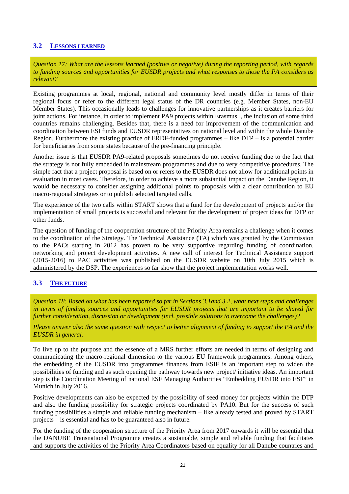#### **3.2 LESSONS LEARNED**

*Question 17: What are the lessons learned (positive or negative) during the reporting period, with regards to funding sources and opportunities for EUSDR projects and what responses to those the PA considers as relevant?* 

Existing programmes at local, regional, national and community level mostly differ in terms of their regional focus or refer to the different legal status of the DR countries (e.g. Member States, non-EU Member States). This occasionally leads to challenges for innovative partnerships as it creates barriers for joint actions. For instance, in order to implement PA9 projects within Erasmus+, the inclusion of some third countries remains challenging. Besides that, there is a need for improvement of the communication and coordination between ESI funds and EUSDR representatives on national level and within the whole Danube Region. Furthermore the existing practice of ERDF-funded programmes – like DTP – is a potential barrier for beneficiaries from some states because of the pre-financing principle.

Another issue is that EUSDR PA9-related proposals sometimes do not receive funding due to the fact that the strategy is not fully embedded in mainstream programmes and due to very competitive procedures. The simple fact that a project proposal is based on or refers to the EUSDR does not allow for additional points in evaluation in most cases. Therefore, in order to achieve a more substantial impact on the Danube Region, it would be necessary to consider assigning additional points to proposals with a clear contribution to EU macro-regional strategies or to publish selected targeted calls.

The experience of the two calls within START shows that a fund for the development of projects and/or the implementation of small projects is successful and relevant for the development of project ideas for DTP or other funds.

The question of funding of the cooperation structure of the Priority Area remains a challenge when it comes to the coordination of the Strategy. The Technical Assistance (TA) which was granted by the Commission to the PACs starting in 2012 has proven to be very supportive regarding funding of coordination, networking and project development activities. A new call of interest for Technical Assistance support (2015-2016) to PAC activities was published on the EUSDR website on 10th July 2015 which is administered by the DSP. The experiences so far show that the project implementation works well.

### **3.3 THE FUTURE**

*Question 18: Based on what has been reported so far in Sections 3.1and 3.2, what next steps and challenges in terms of funding sources and opportunities for EUSDR projects that are important to be shared for further consideration, discussion or development (incl. possible solutions to overcome the challenges)?* 

Please answer also the same question with respect to better alignment of funding to support the PA and the *EUSDR in general.* 

To live up to the purpose and the essence of a MRS further efforts are needed in terms of designing and communicating the macro-regional dimension to the various EU framework programmes. Among others, the embedding of the EUSDR into programmes finances from ESIF is an important step to widen the possibilities of funding and as such opening the pathway towards new project/ initiative ideas. An important step is the Coordination Meeting of national ESF Managing Authorities "Embedding EUSDR into ESF" in Munich in July 2016.

Positive developments can also be expected by the possibility of seed money for projects within the DTP and also the funding possibility for strategic projects coordinated by PA10. But for the success of such funding possibilities a simple and reliable funding mechanism – like already tested and proved by START projects – is essential and has to be guaranteed also in future.

For the funding of the cooperation structure of the Priority Area from 2017 onwards it will be essential that the DANUBE Transnational Programme creates a sustainable, simple and reliable funding that facilitates and supports the activities of the Priority Area Coordinators based on equality for all Danube countries and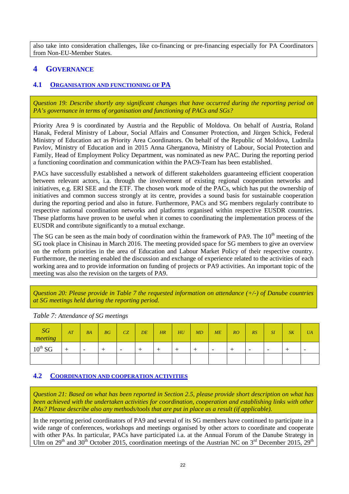also take into consideration challenges, like co-financing or pre-financing especially for PA Coordinators from Non-EU-Member States.

## **4 GOVERNANCE**

### **4.1 ORGANISATION AND FUNCTIONING OF PA**

*Question 19: Describe shortly any significant changes that have occurred during the reporting period on PA's governance in terms of organisation and functioning of PACs and SGs?* 

Priority Area 9 is coordinated by Austria and the Republic of Moldova. On behalf of Austria, Roland Hanak, Federal Ministry of Labour, Social Affairs and Consumer Protection, and Jürgen Schick, Federal Ministry of Education act as Priority Area Coordinators. On behalf of the Republic of Moldova, Ludmila Pavlov, Ministry of Education and in 2015 Anna Gherganova, Ministry of Labour, Social Protection and Family, Head of Employment Policy Department, was nominated as new PAC. During the reporting period a functioning coordination and communication within the PAC9-Team has been established.

PACs have successfully established a network of different stakeholders guaranteeing efficient cooperation between relevant actors, i.a. through the involvement of existing regional cooperation networks and initiatives, e.g. ERI SEE and the ETF. The chosen work mode of the PACs, which has put the ownership of initiatives and common success strongly at its centre, provides a sound basis for sustainable cooperation during the reporting period and also in future. Furthermore, PACs and SG members regularly contribute to respective national coordination networks and platforms organised within respective EUSDR countries. These platforms have proven to be useful when it comes to coordinating the implementation process of the EUSDR and contribute significantly to a mutual exchange.

The SG can be seen as the main body of coordination within the framework of PA9. The 10<sup>th</sup> meeting of the SG took place in Chisinau in March 2016. The meeting provided space for SG members to give an overview on the reform priorities in the area of Education and Labour Market Policy of their respective country. Furthermore, the meeting enabled the discussion and exchange of experience related to the activities of each working area and to provide information on funding of projects or PA9 activities. An important topic of the meeting was also the revision on the targets of PA9.

*Question 20: Please provide in Table 7 the requested information on attendance (+/-) of Danube countries at SG meetings held during the reporting period.* 

| SG<br>meeting       | AT | BA                       | BG | CZ                       | DE | HR | HU | MD | ME                       | RO | RS                       | SI                       | S K | <b>UA</b> |
|---------------------|----|--------------------------|----|--------------------------|----|----|----|----|--------------------------|----|--------------------------|--------------------------|-----|-----------|
| $10^{\text{th}}$ SG |    | $\overline{\phantom{a}}$ |    | $\overline{\phantom{0}}$ |    |    |    |    | $\overline{\phantom{0}}$ |    | $\overline{\phantom{0}}$ | $\overline{\phantom{0}}$ |     |           |
|                     |    |                          |    |                          |    |    |    |    |                          |    |                          |                          |     |           |

*Table 7: Attendance of SG meetings* 

#### **4.2 COORDINATION AND COOPERATION ACTIVITIES**

Question 21: Based on what has been reported in Section 2.5, please provide short description on what has *been achieved with the undertaken activities for coordination, cooperation and establishing links with other PAs? Please describe also any methods/tools that are put in place as a result (if applicable).* 

In the reporting period coordinators of PA9 and several of its SG members have continued to participate in a wide range of conferences, workshops and meetings organised by other actors to coordinate and cooperate with other PAs. In particular, PACs have participated i.a. at the Annual Forum of the Danube Strategy in Ulm on  $29<sup>th</sup>$  and  $30<sup>th</sup>$  October 2015, coordination meetings of the Austrian NC on  $3<sup>rd</sup>$  December 2015,  $29<sup>th</sup>$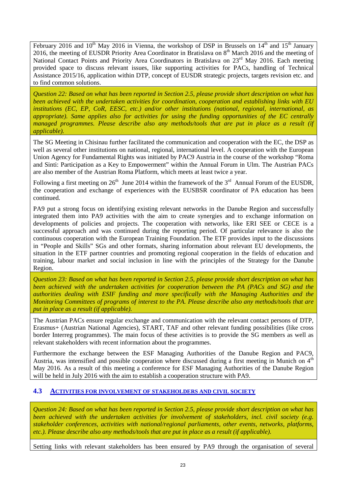February 2016 and  $10^{th}$  May 2016 in Vienna, the workshop of DSP in Brussels on  $14^{th}$  and  $15^{th}$  January 2016, the meeting of EUSDR Priority Area Coordinator in Bratislava on 8<sup>th</sup> March 2016 and the meeting of National Contact Points and Priority Area Coordinators in Bratislava on 23<sup>rd</sup> May 2016. Each meeting provided space to discuss relevant issues, like supporting activities for PACs, handling of Technical Assistance 2015/16, application within DTP, concept of EUSDR strategic projects, targets revision etc. and to find common solutions.

Question 22: Based on what has been reported in Section 2.5, please provide short description on what has *been achieved with the undertaken activities for coordination, cooperation and establishing links with EU institutions (EC, EP, CoR, EESC, etc.) and/or other institutions (national, regional, international, as appropriate). Same applies also for activities for using the funding opportunities of the EC centrally managed programmes. Please describe also any methods/tools that are put in place as a result (if applicable).* 

The SG Meeting in Chisinau further facilitated the communication and cooperation with the EC, the DSP as well as several other institutions on national, regional, international level. A cooperation with the European Union Agency for Fundamental Rights was initiated by PAC9 Austria in the course of the workshop "Roma and Sinti: Participation as a Key to Empowerment" within the Annual Forum in Ulm. The Austrian PACs are also member of the Austrian Roma Platform, which meets at least twice a year.

Following a first meeting on  $26<sup>th</sup>$  June 2014 within the framework of the  $3<sup>rd</sup>$  Annual Forum of the EUSDR, the cooperation and exchange of experiences with the EUSBSR coordinator of PA education has been continued.

PA9 put a strong focus on identifying existing relevant networks in the Danube Region and successfully integrated them into PA9 activities with the aim to create synergies and to exchange information on developments of policies and projects. The cooperation with networks, like ERI SEE or CECE is a successful approach and was continued during the reporting period. Of particular relevance is also the continuous cooperation with the European Training Foundation. The ETF provides input to the discussions in "People and Skills" SGs and other formats, sharing information about relevant EU developments, the situation in the ETF partner countries and promoting regional cooperation in the fields of education and training, labour market and social inclusion in line with the principles of the Strategy for the Danube Region.

Question 23: Based on what has been reported in Section 2.5, please provide short description on what has *been achieved with the undertaken activities for cooperation between the PA (PACs and SG) and the authorities dealing with ESIF funding and more specifically with the Managing Authorities and the Monitoring Committees of programs of interest to the PA. Please describe also any methods/tools that are put in place as a result (if applicable).* 

The Austrian PACs ensure regular exchange and communication with the relevant contact persons of DTP, Erasmus+ (Austrian National Agencies), START, TAF and other relevant funding possibilities (like cross border Interreg programmes). The main focus of these activities is to provide the SG members as well as relevant stakeholders with recent information about the programmes.

Furthermore the exchange between the ESF Managing Authorities of the Danube Region and PAC9, Austria, was intensified and possible cooperation where discussed during a first meeting in Munich on  $4<sup>th</sup>$ May 2016. As a result of this meeting a conference for ESF Managing Authorities of the Danube Region will be held in July 2016 with the aim to establish a cooperation structure with PA9.

#### **4.3 ACTIVITIES FOR INVOLVEMENT OF STAKEHOLDERS AND CIVIL SOCIETY**

Question 24: Based on what has been reported in Section 2.5, please provide short description on what has *been achieved with the undertaken activities for involvement of stakeholders, incl. civil society (e.g. stakeholder conferences, activities with national/regional parliaments, other events, networks, platforms, etc.). Please describe also any methods/tools that are put in place as a result (if applicable).* 

Setting links with relevant stakeholders has been ensured by PA9 through the organisation of several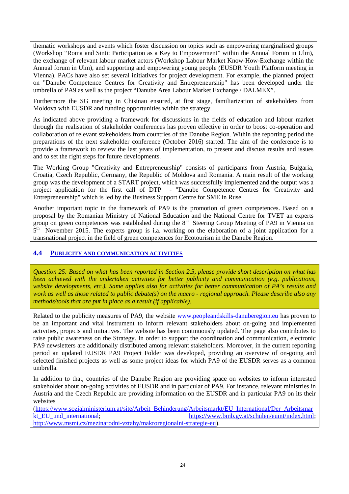thematic workshops and events which foster discussion on topics such as empowering marginalised groups (Workshop "Roma and Sinti: Participation as a Key to Empowerment" within the Annual Forum in Ulm), the exchange of relevant labour market actors (Workshop Labour Market Know-How-Exchange within the Annual forum in Ulm), and supporting and empowering young people (EUSDR Youth Platform meeting in Vienna). PACs have also set several initiatives for project development. For example, the planned project on "Danube Competence Centres for Creativity and Entrepreneurship" has been developed under the umbrella of PA9 as well as the project "Danube Area Labour Market Exchange / DALMEX".

Furthermore the SG meeting in Chisinau ensured, at first stage, familiarization of stakeholders from Moldova with EUSDR and funding opportunities within the strategy.

As indicated above providing a framework for discussions in the fields of education and labour market through the realisation of stakeholder conferences has proven effective in order to boost co-operation and collaboration of relevant stakeholders from countries of the Danube Region. Within the reporting period the preparations of the next stakeholder conference (October 2016) started. The aim of the conference is to provide a framework to review the last years of implementation, to present and discuss results and issues and to set the right steps for future developments.

The Working Group "Creativity and Entrepreneurship" consists of participants from Austria, Bulgaria, Croatia, Czech Republic, Germany, the Republic of Moldova and Romania. A main result of the working group was the development of a START project, which was successfully implemented and the output was a project application for the first call of DTP - "Danube Competence Centres for Creativity and Entrepreneurship" which is led by the Business Support Centre for SME in Ruse.

Another important topic in the framework of PA9 is the promotion of green competences. Based on a proposal by the Romanian Ministry of National Education and the National Centre for TVET an experts group on green competences was established during the  $8<sup>th</sup>$  Steering Group Meeting of PA9 in Vienna on  $5<sup>th</sup>$  November 2015. The experts group is i.a. working on the elaboration of a joint application for a transnational project in the field of green competences for Ecotourism in the Danube Region.

#### **4.4 PUBLICITY AND COMMUNICATION ACTIVITIES**

Question 25: Based on what has been reported in Section 2.5, please provide short description on what has *been achieved with the undertaken activities for better publicity and communication (e.g. publications, website developments, etc.). Same applies also for activities for better communication of PA's results and work as well as those related to public debate(s) on the macro - regional approach. Please describe also any methods/tools that are put in place as a result (if applicable).* 

Related to the publicity measures of PA9, the website [www.peopleandskills-danuberegion.eu](http://www.peopleandskills-danuberegion.eu) has proven to be an important and vital instrument to inform relevant stakeholders about on-going and implemented activities, projects and initiatives. The website has been continuously updated. The page also contributes to raise public awareness on the Strategy. In order to support the coordination and communication, electronic PA9 newsletters are additionally distributed among relevant stakeholders. Moreover, in the current reporting period an updated EUSDR PA9 Project Folder was developed, providing an overview of on-going and selected finished projects as well as some project ideas for which PA9 of the EUSDR serves as a common umbrella.

In addition to that, countries of the Danube Region are providing space on websites to inform interested stakeholder about on-going activities of EUSDR and in particular of PA9. For instance, relevant ministries in Austria and the Czech Republic are providing information on the EUSDR and in particular PA9 on its their websites

[\(https://www.sozialministerium.at/site/Arbeit\\_Behinderung/Arbeitsmarkt/EU\\_International/Der\\_Arbeitsmar](https://www.sozialministerium.at/site/Arbeit_Behinderung/Arbeitsmarkt/EU_International/Der_Arbeitsmar) kt EU und international; [https://www.bmb.gv.at/schulen/euint/index.html;](https://www.bmb.gv.at/schulen/euint/index.html) <http://www.msmt.cz/mezinarodni-vztahy/makroregionalni-strategie-eu>).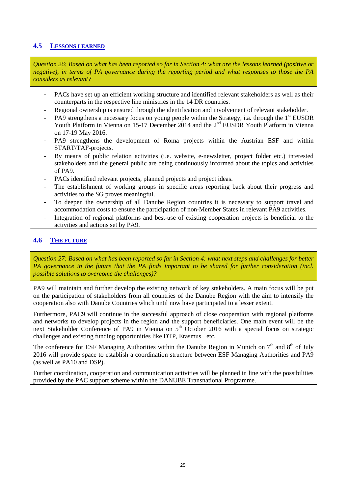#### **4.5 LESSONS LEARNED**

Question 26: Based on what has been reported so far in Section 4: what are the lessons learned (positive or *negative), in terms of PA governance during the reporting period and what responses to those the PA considers as relevant?* 

- PACs have set up an efficient working structure and identified relevant stakeholders as well as their counterparts in the respective line ministries in the 14 DR countries.
- Regional ownership is ensured through the identification and involvement of relevant stakeholder.
- PA9 strengthens a necessary focus on young people within the Strategy, i.a. through the  $1<sup>st</sup> EUSDR$ Youth Platform in Vienna on 15-17 December 2014 and the 2<sup>nd</sup> EUSDR Youth Platform in Vienna on 17-19 May 2016.
- PA9 strengthens the development of Roma projects within the Austrian ESF and within START/TAF-projects.
- By means of public relation activities (i.e. website, e-newsletter, project folder etc.) interested stakeholders and the general public are being continuously informed about the topics and activities of PA9.
- PACs identified relevant projects, planned projects and project ideas.
- The establishment of working groups in specific areas reporting back about their progress and activities to the SG proves meaningful.
- To deepen the ownership of all Danube Region countries it is necessary to support travel and accommodation costs to ensure the participation of non-Member States in relevant PA9 activities.
- Integration of regional platforms and best-use of existing cooperation projects is beneficial to the activities and actions set by PA9.

#### **4.6 THE FUTURE**

Question 27: Based on what has been reported so far in Section 4: what next steps and challenges for better *PA governance in the future that the PA finds important to be shared for further consideration (incl. possible solutions to overcome the challenges)?* 

PA9 will maintain and further develop the existing network of key stakeholders. A main focus will be put on the participation of stakeholders from all countries of the Danube Region with the aim to intensify the cooperation also with Danube Countries which until now have participated to a lesser extent.

Furthermore, PAC9 will continue in the successful approach of close cooperation with regional platforms and networks to develop projects in the region and the support beneficiaries. One main event will be the next Stakeholder Conference of PA9 in Vienna on 5<sup>th</sup> October 2016 with a special focus on strategic challenges and existing funding opportunities like DTP, Erasmus+ etc.

The conference for ESF Managing Authorities within the Danube Region in Munich on  $7<sup>th</sup>$  and  $8<sup>th</sup>$  of July 2016 will provide space to establish a coordination structure between ESF Managing Authorities and PA9 (as well as PA10 and DSP).

Further coordination, cooperation and communication activities will be planned in line with the possibilities provided by the PAC support scheme within the DANUBE Transnational Programme.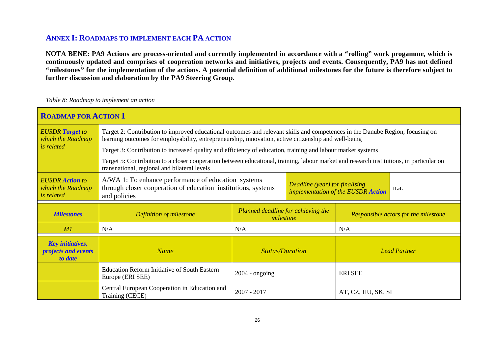## **ANNEX I: ROADMAPS TO IMPLEMENT EACH PA ACTION**

NOTA BENE: PA9 Actions are process-oriented and currently implemented in accordance with a "rolling" work progamme, which is continuously updated and comprises of cooperation networks and initiatives, projects and events. Consequently, PA9 has not defined "milestones" for the implementation of the actions. A potential definition of additional milestones for the future is therefore subject to **further discussion and elaboration by the PA9 Steering Group.** 

#### *Table 8: Roadmap to implement an action*

| <b>ROADMAP FOR ACTION 1</b>                                      |                                                                                                                                                                                                                                       |                                                 |  |                                      |  |  |  |  |
|------------------------------------------------------------------|---------------------------------------------------------------------------------------------------------------------------------------------------------------------------------------------------------------------------------------|-------------------------------------------------|--|--------------------------------------|--|--|--|--|
| <b>EUSDR</b> Target to<br>which the Roadmap                      | Target 2: Contribution to improved educational outcomes and relevant skills and competences in the Danube Region, focusing on<br>learning outcomes for employability, entrepreneurship, innovation, active citizenship and well-being |                                                 |  |                                      |  |  |  |  |
| <i>is related</i>                                                | Target 3: Contribution to increased quality and efficiency of education, training and labour market systems                                                                                                                           |                                                 |  |                                      |  |  |  |  |
|                                                                  | Target 5: Contribution to a closer cooperation between educational, training, labour market and research institutions, in particular on<br>transnational, regional and bilateral levels                                               |                                                 |  |                                      |  |  |  |  |
| <b>EUSDR</b> Action to<br>which the Roadmap<br><i>is related</i> | A/WA 1: To enhance performance of education systems<br>Deadline (year) for finalising<br>through closer cooperation of education institutions, systems<br>n.a.<br>implementation of the EUSDR Action<br>and policies                  |                                                 |  |                                      |  |  |  |  |
| <b>Milestones</b>                                                | Definition of milestone                                                                                                                                                                                                               | Planned deadline for achieving the<br>milestone |  | Responsible actors for the milestone |  |  |  |  |
| M1                                                               | N/A                                                                                                                                                                                                                                   | N/A                                             |  | N/A                                  |  |  |  |  |
| <b>Key initiatives,</b><br>projects and events<br>to date        | <b>Name</b>                                                                                                                                                                                                                           | <b>Status/Duration</b><br><b>Lead Partner</b>   |  |                                      |  |  |  |  |
|                                                                  | <b>Education Reform Initiative of South Eastern</b><br>Europe (ERI SEE)                                                                                                                                                               | $2004 - ongoing$                                |  | <b>ERI SEE</b>                       |  |  |  |  |
|                                                                  | Central European Cooperation in Education and<br>Training (CECE)                                                                                                                                                                      | $2007 - 2017$                                   |  | AT, CZ, HU, SK, SI                   |  |  |  |  |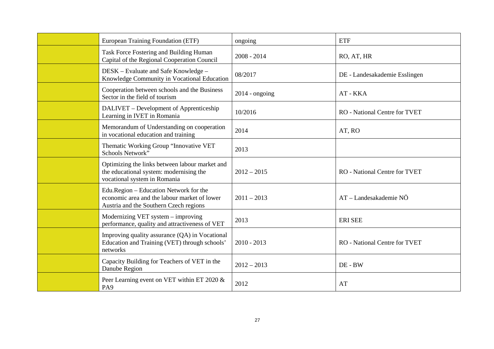| European Training Foundation (ETF)                                                                                               | ongoing          | <b>ETF</b>                           |
|----------------------------------------------------------------------------------------------------------------------------------|------------------|--------------------------------------|
| Task Force Fostering and Building Human<br>Capital of the Regional Cooperation Council                                           | $2008 - 2014$    | RO, AT, HR                           |
| DESK – Evaluate and Safe Knowledge –<br>Knowledge Community in Vocational Education                                              | 08/2017          | DE - Landesakademie Esslingen        |
| Cooperation between schools and the Business<br>Sector in the field of tourism                                                   | $2014$ - ongoing | AT - KKA                             |
| DALIVET - Development of Apprenticeship<br>Learning in IVET in Romania                                                           | 10/2016          | <b>RO</b> - National Centre for TVET |
| Memorandum of Understanding on cooperation<br>in vocational education and training                                               | 2014             | AT, RO                               |
| Thematic Working Group "Innovative VET<br>Schools Network"                                                                       | 2013             |                                      |
| Optimizing the links between labour market and<br>the educational system: modernising the<br>vocational system in Romania        | $2012 - 2015$    | <b>RO</b> - National Centre for TVET |
| Edu.Region - Education Network for the<br>economic area and the labour market of lower<br>Austria and the Southern Czech regions | $2011 - 2013$    | AT - Landesakademie NÖ               |
| Modernizing VET system - improving<br>performance, quality and attractiveness of VET                                             | 2013             | <b>ERI SEE</b>                       |
| Improving quality assurance (QA) in Vocational<br>Education and Training (VET) through schools'<br>networks                      | $2010 - 2013$    | <b>RO</b> - National Centre for TVET |
| Capacity Building for Teachers of VET in the<br>Danube Region                                                                    | $2012 - 2013$    | DE - BW                              |
| Peer Learning event on VET within ET 2020 &<br>PA <sub>9</sub>                                                                   | 2012             | AT                                   |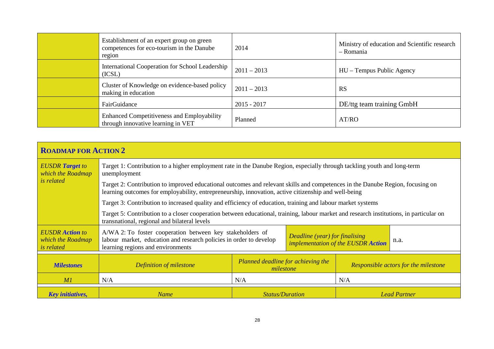| Establishment of an expert group on green<br>competences for eco-tourism in the Danube<br>region | 2014          | Ministry of education and Scientific research<br>- Romania |
|--------------------------------------------------------------------------------------------------|---------------|------------------------------------------------------------|
| International Cooperation for School Leadership<br>(ICSL)                                        | $2011 - 2013$ | HU – Tempus Public Agency                                  |
| Cluster of Knowledge on evidence-based policy<br>making in education                             | $2011 - 2013$ | <b>RS</b>                                                  |
| FairGuidance                                                                                     | $2015 - 2017$ | DE/ttg team training GmbH                                  |
| <b>Enhanced Competitiveness and Employability</b><br>through innovative learning in VET          | Planned       | AT/RO                                                      |

| <b>ROADMAP FOR ACTION 2</b>                                      |                                                                                                                                                                                                                                                      |                        |  |  |                     |  |  |
|------------------------------------------------------------------|------------------------------------------------------------------------------------------------------------------------------------------------------------------------------------------------------------------------------------------------------|------------------------|--|--|---------------------|--|--|
| <b>EUSDR</b> Target to<br>which the Roadmap                      | Target 1: Contribution to a higher employment rate in the Danube Region, especially through tackling youth and long-term<br>unemployment                                                                                                             |                        |  |  |                     |  |  |
| <i>is related</i>                                                | Target 2: Contribution to improved educational outcomes and relevant skills and competences in the Danube Region, focusing on<br>learning outcomes for employability, entrepreneurship, innovation, active citizenship and well-being                |                        |  |  |                     |  |  |
|                                                                  | Target 3: Contribution to increased quality and efficiency of education, training and labour market systems                                                                                                                                          |                        |  |  |                     |  |  |
|                                                                  | Target 5: Contribution to a closer cooperation between educational, training, labour market and research institutions, in particular on<br>transnational, regional and bilateral levels                                                              |                        |  |  |                     |  |  |
| <b>EUSDR</b> Action to<br>which the Roadmap<br><i>is related</i> | A/WA 2: To foster cooperation between key stakeholders of<br>Deadline (year) for finalising<br>labour market, education and research policies in order to develop<br>n.a.<br>implementation of the EUSDR Action<br>learning regions and environments |                        |  |  |                     |  |  |
| <b>Milestones</b>                                                | Planned deadline for achieving the<br>Responsible actors for the milestone<br>Definition of milestone<br>milestone                                                                                                                                   |                        |  |  |                     |  |  |
| MI                                                               | N/A                                                                                                                                                                                                                                                  | N/A<br>N/A             |  |  |                     |  |  |
| <b>Key initiatives,</b>                                          | <b>Name</b>                                                                                                                                                                                                                                          | <b>Status/Duration</b> |  |  | <b>Lead Partner</b> |  |  |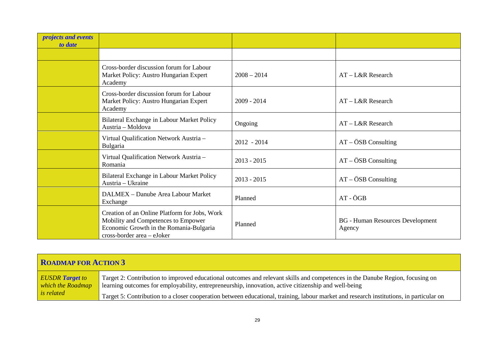| <i>projects and events</i><br>to date |                                                                                                                                                               |               |                                                   |
|---------------------------------------|---------------------------------------------------------------------------------------------------------------------------------------------------------------|---------------|---------------------------------------------------|
|                                       |                                                                                                                                                               |               |                                                   |
|                                       | Cross-border discussion forum for Labour<br>Market Policy: Austro Hungarian Expert<br>Academy                                                                 | $2008 - 2014$ | $AT - L&R$ Research                               |
|                                       | Cross-border discussion forum for Labour<br>Market Policy: Austro Hungarian Expert<br>Academy                                                                 | $2009 - 2014$ | $AT - L&R$ Research                               |
|                                       | Bilateral Exchange in Labour Market Policy<br>Austria – Moldova                                                                                               | Ongoing       | $AT - L&R$ Research                               |
|                                       | Virtual Qualification Network Austria -<br>Bulgaria                                                                                                           | $2012 - 2014$ | $AT - \ddot{O}SB$ Consulting                      |
|                                       | Virtual Qualification Network Austria -<br>Romania                                                                                                            | $2013 - 2015$ | $AT - \ddot{O}SB$ Consulting                      |
|                                       | Bilateral Exchange in Labour Market Policy<br>Austria - Ukraine                                                                                               | $2013 - 2015$ | $AT - \ddot{O}SB$ Consulting                      |
|                                       | DALMEX - Danube Area Labour Market<br>Exchange                                                                                                                | Planned       | AT - ÖGB                                          |
|                                       | Creation of an Online Platform for Jobs, Work<br>Mobility and Competences to Empower<br>Economic Growth in the Romania-Bulgaria<br>cross-border area - eJoker | Planned       | <b>BG</b> - Human Resources Development<br>Agency |

| <b>ROADMAP FOR ACTION 3</b>                                      |                                                                                                                                                                                                                                       |
|------------------------------------------------------------------|---------------------------------------------------------------------------------------------------------------------------------------------------------------------------------------------------------------------------------------|
| <b>EUSDR</b> Target to<br>which the Roadmap<br><i>is related</i> | Target 2: Contribution to improved educational outcomes and relevant skills and competences in the Danube Region, focusing on<br>learning outcomes for employability, entrepreneurship, innovation, active citizenship and well-being |
|                                                                  | Target 5: Contribution to a closer cooperation between educational, training, labour market and research institutions, in particular on                                                                                               |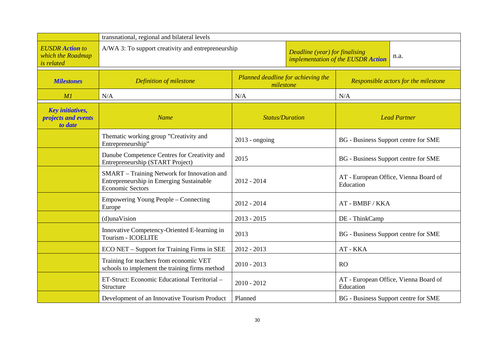|                                                                  | transnational, regional and bilateral levels                                                                       |                                                                      |  |                                                    |  |
|------------------------------------------------------------------|--------------------------------------------------------------------------------------------------------------------|----------------------------------------------------------------------|--|----------------------------------------------------|--|
| <b>EUSDR</b> Action to<br>which the Roadmap<br>is related        | A/WA 3: To support creativity and entrepreneurship                                                                 | Deadline (year) for finalising<br>implementation of the EUSDR Action |  | n.a.                                               |  |
| <b>Milestones</b>                                                | Definition of milestone                                                                                            | Planned deadline for achieving the<br>milestone                      |  | Responsible actors for the milestone               |  |
| M1                                                               | N/A                                                                                                                | N/A                                                                  |  | N/A                                                |  |
| <b>Key initiatives,</b><br><i>projects and events</i><br>to date | <b>Name</b>                                                                                                        | <b>Status/Duration</b>                                               |  | <b>Lead Partner</b>                                |  |
|                                                                  | Thematic working group "Creativity and<br>Entrepreneurship"                                                        | $2013$ - ongoing                                                     |  | BG - Business Support centre for SME               |  |
|                                                                  | Danube Competence Centres for Creativity and<br>Entrepreneurship (START Project)                                   | 2015                                                                 |  | BG - Business Support centre for SME               |  |
|                                                                  | SMART - Training Network for Innovation and<br>Entrepreneurship in Emerging Sustainable<br><b>Economic Sectors</b> | 2012 - 2014                                                          |  | AT - European Office, Vienna Board of<br>Education |  |
|                                                                  | Empowering Young People – Connecting<br>Europe                                                                     | $2012 - 2014$                                                        |  | AT - BMBF / KKA                                    |  |
|                                                                  | (d)unaVision                                                                                                       | $2013 - 2015$                                                        |  | DE - ThinkCamp                                     |  |
|                                                                  | Innovative Competency-Oriented E-learning in<br>Tourism - ICOELITE                                                 | 2013                                                                 |  | BG - Business Support centre for SME               |  |
|                                                                  | ECO NET – Support for Training Firms in SEE                                                                        | $2012 - 2013$                                                        |  | AT - KKA                                           |  |
|                                                                  | Training for teachers from economic VET<br>schools to implement the training firms method                          | $2010 - 2013$                                                        |  | <b>RO</b>                                          |  |
|                                                                  | ET-Struct: Economic Educational Territorial -<br>Structure                                                         | $2010 - 2012$                                                        |  | AT - European Office, Vienna Board of<br>Education |  |
|                                                                  | Development of an Innovative Tourism Product                                                                       | Planned                                                              |  | BG - Business Support centre for SME               |  |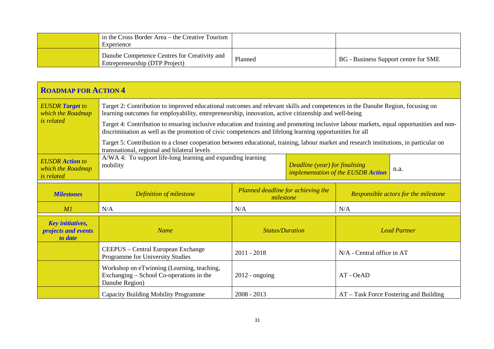| in the Cross Border Area – the Creative Tourism<br>Experience                  |         |                                             |
|--------------------------------------------------------------------------------|---------|---------------------------------------------|
| Danube Competence Centres for Creativity and<br>Entrepreneurship (DTP Project) | Planned | <b>BG</b> - Business Support centre for SME |

| <b>ROADMAP FOR ACTION 4</b>                                      |                                                                                                                                                                                                                                                      |                                                 |                                |                                    |                                        |
|------------------------------------------------------------------|------------------------------------------------------------------------------------------------------------------------------------------------------------------------------------------------------------------------------------------------------|-------------------------------------------------|--------------------------------|------------------------------------|----------------------------------------|
| <b>EUSDR</b> Target to<br>which the Roadmap                      | Target 2: Contribution to improved educational outcomes and relevant skills and competences in the Danube Region, focusing on<br>learning outcomes for employability, entrepreneurship, innovation, active citizenship and well-being                |                                                 |                                |                                    |                                        |
| <i>is related</i>                                                | Target 4: Contribution to ensuring inclusive education and training and promoting inclusive labour markets, equal opportunities and non-<br>discrimination as well as the promotion of civic competences and lifelong learning opportunities for all |                                                 |                                |                                    |                                        |
|                                                                  | Target 5: Contribution to a closer cooperation between educational, training, labour market and research institutions, in particular on<br>transnational, regional and bilateral levels                                                              |                                                 |                                |                                    |                                        |
| <b>EUSDR</b> Action to<br>which the Roadmap<br><i>is related</i> | A/WA 4: To support life-long learning and expanding learning<br>mobility                                                                                                                                                                             |                                                 | Deadline (year) for finalising | implementation of the EUSDR Action | n.a.                                   |
| <b>Milestones</b>                                                | Definition of milestone                                                                                                                                                                                                                              | Planned deadline for achieving the<br>milestone |                                |                                    | Responsible actors for the milestone   |
| M1                                                               | N/A                                                                                                                                                                                                                                                  | N/A                                             |                                | N/A                                |                                        |
| <b>Key initiatives,</b><br><i>projects and events</i><br>to date | <b>Name</b>                                                                                                                                                                                                                                          | <b>Status/Duration</b>                          |                                | <b>Lead Partner</b>                |                                        |
|                                                                  | CEEPUS - Central European Exchange<br>Programme for University Studies                                                                                                                                                                               | $2011 - 2018$                                   |                                | $N/A$ - Central office in AT       |                                        |
|                                                                  | Workshop on eTwinning (Learning, teaching,<br>Exchanging – School Co-operations in the<br>Danube Region)                                                                                                                                             | $2012$ - ongoing                                |                                | AT - OeAD                          |                                        |
|                                                                  | <b>Capacity Building Mobility Programme</b>                                                                                                                                                                                                          | $2008 - 2013$                                   |                                |                                    | AT – Task Force Fostering and Building |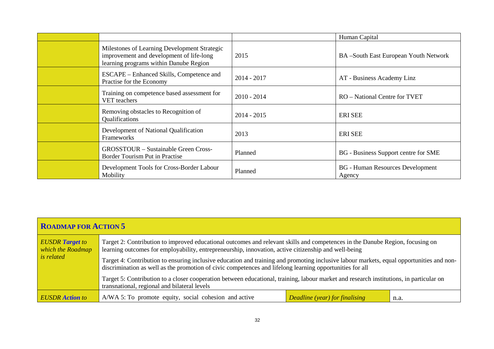|                                                                                                                                    |               | Human Capital                                     |
|------------------------------------------------------------------------------------------------------------------------------------|---------------|---------------------------------------------------|
| Milestones of Learning Development Strategic<br>improvement and development of life-long<br>learning programs within Danube Region | 2015          | BA-South East European Youth Network              |
| ESCAPE – Enhanced Skills, Competence and<br>Practise for the Economy                                                               | $2014 - 2017$ | AT - Business Academy Linz                        |
| Training on competence based assessment for<br>VET teachers                                                                        | $2010 - 2014$ | RO – National Centre for TVET                     |
| Removing obstacles to Recognition of<br>Qualifications                                                                             | $2014 - 2015$ | <b>ERI SEE</b>                                    |
| Development of National Qualification<br>Frameworks                                                                                | 2013          | <b>ERI SEE</b>                                    |
| <b>GROSSTOUR</b> – Sustainable Green Cross-<br>Border Tourism Put in Practise                                                      | Planned       | BG - Business Support centre for SME              |
| Development Tools for Cross-Border Labour<br>Mobility                                                                              | Planned       | <b>BG</b> - Human Resources Development<br>Agency |

| ROADMAP FOR ACTION 5                                             |                                                                                                                                                                                                                                                                                                                                                                                                                                                                                               |                                |      |  |
|------------------------------------------------------------------|-----------------------------------------------------------------------------------------------------------------------------------------------------------------------------------------------------------------------------------------------------------------------------------------------------------------------------------------------------------------------------------------------------------------------------------------------------------------------------------------------|--------------------------------|------|--|
| <b>EUSDR</b> Target to<br>which the Roadmap<br><i>is related</i> | Target 2: Contribution to improved educational outcomes and relevant skills and competences in the Danube Region, focusing on<br>learning outcomes for employability, entrepreneurship, innovation, active citizenship and well-being<br>Target 4: Contribution to ensuring inclusive education and training and promoting inclusive labour markets, equal opportunities and non-<br>discrimination as well as the promotion of civic competences and lifelong learning opportunities for all |                                |      |  |
|                                                                  | Target 5: Contribution to a closer cooperation between educational, training, labour market and research institutions, in particular on<br>transnational, regional and bilateral levels                                                                                                                                                                                                                                                                                                       |                                |      |  |
| <b>EUSDR</b> Action to                                           | A/WA 5: To promote equity, social cohesion and active                                                                                                                                                                                                                                                                                                                                                                                                                                         | Deadline (year) for finalising | n.a. |  |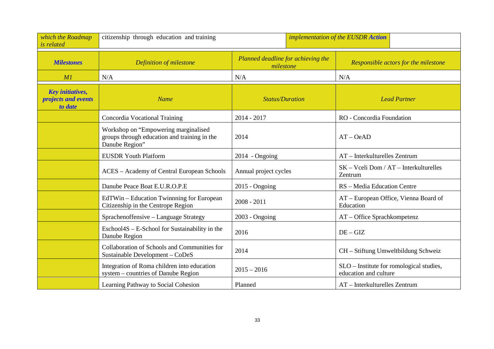| which the Roadmap<br>is related                                  | citizenship through education and training<br>implementation of the EUSDR Action                       |                                                 |                                                                   |
|------------------------------------------------------------------|--------------------------------------------------------------------------------------------------------|-------------------------------------------------|-------------------------------------------------------------------|
| <b>Milestones</b>                                                | Definition of milestone                                                                                | Planned deadline for achieving the<br>milestone | Responsible actors for the milestone                              |
| M1                                                               | N/A                                                                                                    | N/A                                             | N/A                                                               |
| <b>Key initiatives,</b><br><i>projects and events</i><br>to date | <b>Name</b>                                                                                            | <b>Status/Duration</b>                          | <b>Lead Partner</b>                                               |
|                                                                  | Concordia Vocational Training                                                                          | 2014 - 2017                                     | RO - Concordia Foundation                                         |
|                                                                  | Workshop on "Empowering marginalised<br>groups through education and training in the<br>Danube Region" | 2014                                            | $AT - OeAD$                                                       |
|                                                                  | <b>EUSDR Youth Platform</b>                                                                            | $2014 - Ongoing$                                | $AT$ – Interkulturelles Zentrum                                   |
|                                                                  | ACES - Academy of Central European Schools                                                             | Annual project cycles                           | $SK - Vceli Dom / AT - Interkulturelles$<br>Zentrum               |
|                                                                  | Danube Peace Boat E.U.R.O.P.E                                                                          | $2015$ - Ongoing                                | RS - Media Education Centre                                       |
|                                                                  | EdTWin – Education Twinnning for European<br>Citizenship in the Centrope Region                        | $2008 - 2011$                                   | AT - European Office, Vienna Board of<br>Education                |
|                                                                  | Sprachenoffensive - Language Strategy                                                                  | $2003$ - Ongoing                                | AT - Office Sprachkompetenz                                       |
|                                                                  | Eschool4S – E-School for Sustainability in the<br>Danube Region                                        | 2016                                            | $DE - GIZ$                                                        |
|                                                                  | Collaboration of Schools and Communities for<br>Sustainable Development - CoDeS                        | 2014                                            | CH - Stiftung Umweltbildung Schweiz                               |
|                                                                  | Integration of Roma children into education<br>system – countries of Danube Region                     | $2015 - 2016$                                   | SLO - Institute for romological studies,<br>education and culture |
|                                                                  | Learning Pathway to Social Cohesion                                                                    | Planned                                         | AT - Interkulturelles Zentrum                                     |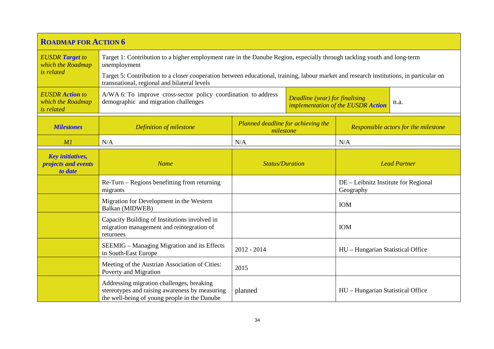| <b>ROADMAP FOR ACTION 6</b>                                      |                                                                                                                                                                                                                                                                                                                                     |                                                                              |  |                                                   |                     |
|------------------------------------------------------------------|-------------------------------------------------------------------------------------------------------------------------------------------------------------------------------------------------------------------------------------------------------------------------------------------------------------------------------------|------------------------------------------------------------------------------|--|---------------------------------------------------|---------------------|
| <b>EUSDR</b> Target to<br>which the Roadmap<br><i>is related</i> | Target 1: Contribution to a higher employment rate in the Danube Region, especially through tackling youth and long-term<br>unemployment<br>Target 5: Contribution to a closer cooperation between educational, training, labour market and research institutions, in particular on<br>transnational, regional and bilateral levels |                                                                              |  |                                                   |                     |
| <b>EUSDR</b> Action to<br>which the Roadmap<br><i>is related</i> | A/WA 6: To improve cross-sector policy coordination to address<br>demographic and migration challenges                                                                                                                                                                                                                              | Deadline (year) for finalising<br>n.a.<br>implementation of the EUSDR Action |  |                                                   |                     |
| <b>Milestones</b>                                                | Definition of milestone                                                                                                                                                                                                                                                                                                             | Planned deadline for achieving the<br>milestone                              |  | Responsible actors for the milestone              |                     |
| MI                                                               | N/A                                                                                                                                                                                                                                                                                                                                 | N/A                                                                          |  | N/A                                               |                     |
| <b>Key initiatives,</b><br><i>projects and events</i><br>to date | <b>Name</b>                                                                                                                                                                                                                                                                                                                         | <b>Status/Duration</b>                                                       |  |                                                   | <b>Lead Partner</b> |
|                                                                  | Re-Turn – Regions benefitting from returning<br>migrants                                                                                                                                                                                                                                                                            |                                                                              |  | DE – Leibnitz Institute for Regional<br>Geography |                     |
|                                                                  | Migration for Development in the Western<br>Balkan (MIDWEB)                                                                                                                                                                                                                                                                         |                                                                              |  | <b>IOM</b>                                        |                     |
|                                                                  | Capacity Building of Institutions involved in<br>migration management and reintegration of<br>returnees                                                                                                                                                                                                                             |                                                                              |  | <b>IOM</b>                                        |                     |
|                                                                  | SEEMIG – Managing Migration and its Effects<br>in South-East Europe                                                                                                                                                                                                                                                                 | $2012 - 2014$                                                                |  | HU - Hungarian Statistical Office                 |                     |
|                                                                  | Meeting of the Austrian Association of Cities:<br>Poverty and Migration                                                                                                                                                                                                                                                             | 2015                                                                         |  |                                                   |                     |
|                                                                  | Addressing migration challenges, breaking<br>stereotypes and raising awareness by measuring<br>the well-being of young people in the Danube                                                                                                                                                                                         | planned                                                                      |  | HU - Hungarian Statistical Office                 |                     |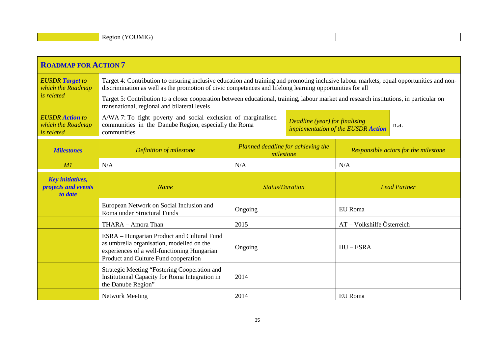|  | $- -$<br>--<br>MK.<br>$\mathbf{H}$<br>Region |  |  |
|--|----------------------------------------------|--|--|
|--|----------------------------------------------|--|--|

| <b>ROADMAP FOR ACTION 7</b>                                      |                                                                                                                                                                                                                                                                                                                                                                                                 |                                                 |  |                                      |      |
|------------------------------------------------------------------|-------------------------------------------------------------------------------------------------------------------------------------------------------------------------------------------------------------------------------------------------------------------------------------------------------------------------------------------------------------------------------------------------|-------------------------------------------------|--|--------------------------------------|------|
| <b>EUSDR</b> Target to<br>which the Roadmap<br><i>is related</i> | Target 4: Contribution to ensuring inclusive education and training and promoting inclusive labour markets, equal opportunities and non-<br>discrimination as well as the promotion of civic competences and lifelong learning opportunities for all<br>Target 5: Contribution to a closer cooperation between educational, training, labour market and research institutions, in particular on |                                                 |  |                                      |      |
|                                                                  | transnational, regional and bilateral levels                                                                                                                                                                                                                                                                                                                                                    |                                                 |  |                                      |      |
| <b>EUSDR</b> Action to<br>which the Roadmap<br><i>is related</i> | A/WA 7: To fight poverty and social exclusion of marginalised<br>communities in the Danube Region, especially the Roma<br>communities                                                                                                                                                                                                                                                           | Deadline (year) for finalising                  |  | implementation of the EUSDR Action   | n.a. |
| <b>Milestones</b>                                                | Definition of milestone                                                                                                                                                                                                                                                                                                                                                                         | Planned deadline for achieving the<br>milestone |  | Responsible actors for the milestone |      |
| M1                                                               | N/A                                                                                                                                                                                                                                                                                                                                                                                             | N/A                                             |  | N/A                                  |      |
| <b>Key initiatives,</b><br><i>projects and events</i><br>to date | <b>Name</b>                                                                                                                                                                                                                                                                                                                                                                                     | <b>Status/Duration</b>                          |  | <b>Lead Partner</b>                  |      |
|                                                                  | European Network on Social Inclusion and<br>Roma under Structural Funds                                                                                                                                                                                                                                                                                                                         | Ongoing                                         |  | EU Roma                              |      |
|                                                                  | THARA - Amora Than                                                                                                                                                                                                                                                                                                                                                                              | 2015                                            |  | AT - Volkshilfe Österreich           |      |
|                                                                  | ESRA – Hungarian Product and Cultural Fund<br>as umbrella organisation, modelled on the<br>experiences of a well-functioning Hungarian<br>Product and Culture Fund cooperation                                                                                                                                                                                                                  | Ongoing                                         |  | $HU - ESRA$                          |      |
|                                                                  | <b>Strategic Meeting "Fostering Cooperation and</b><br>Institutional Capacity for Roma Integration in<br>the Danube Region"                                                                                                                                                                                                                                                                     | 2014                                            |  |                                      |      |
|                                                                  | <b>Network Meeting</b>                                                                                                                                                                                                                                                                                                                                                                          | 2014                                            |  | EU Roma                              |      |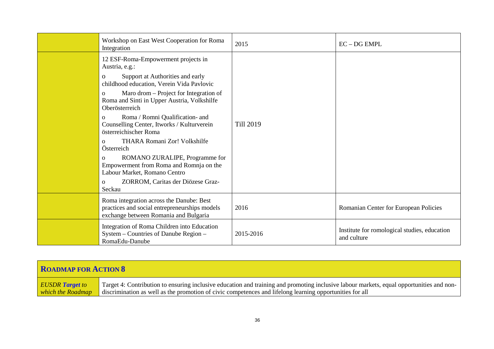| Workshop on East West Cooperation for Roma<br>Integration                                                                                                                                                                                                                                                                                                                                                                                                                                                                                                                                                                                     | 2015             | $EC$ – $DG$ $EMPL$                                          |
|-----------------------------------------------------------------------------------------------------------------------------------------------------------------------------------------------------------------------------------------------------------------------------------------------------------------------------------------------------------------------------------------------------------------------------------------------------------------------------------------------------------------------------------------------------------------------------------------------------------------------------------------------|------------------|-------------------------------------------------------------|
| 12 ESF-Roma-Empowerment projects in<br>Austria, e.g.:<br>Support at Authorities and early<br>$\Omega$<br>childhood education, Verein Vida Pavlovic<br>Maro drom – Project for Integration of<br>$\Omega$<br>Roma and Sinti in Upper Austria, Volkshilfe<br>Oberösterreich<br>Roma / Romni Qualification- and<br>$\Omega$<br>Counselling Center, Itworks / Kulturverein<br>österreichischer Roma<br>THARA Romani Zor! Volkshilfe<br>$\Omega$<br>Österreich<br>ROMANO ZURALIPE, Programme for<br>$\Omega$<br>Empowerment from Roma and Romnja on the<br>Labour Market, Romano Centro<br>ZORROM, Caritas der Diözese Graz-<br>$\Omega$<br>Seckau | <b>Till 2019</b> |                                                             |
| Roma integration across the Danube: Best<br>practices and social entrepreneurships models<br>exchange between Romania and Bulgaria                                                                                                                                                                                                                                                                                                                                                                                                                                                                                                            | 2016             | Romanian Center for European Policies                       |
| Integration of Roma Children into Education<br>System - Countries of Danube Region -<br>RomaEdu-Danube                                                                                                                                                                                                                                                                                                                                                                                                                                                                                                                                        | 2015-2016        | Institute for romological studies, education<br>and culture |

| <b>ROADMAP FOR ACTION 8</b> |                                                                                                                                          |  |  |  |  |  |
|-----------------------------|------------------------------------------------------------------------------------------------------------------------------------------|--|--|--|--|--|
| <b>EUSDR</b> Target to      | Target 4: Contribution to ensuring inclusive education and training and promoting inclusive labour markets, equal opportunities and non- |  |  |  |  |  |
| which the Roadmap           | discrimination as well as the promotion of civic competences and lifelong learning opportunities for all                                 |  |  |  |  |  |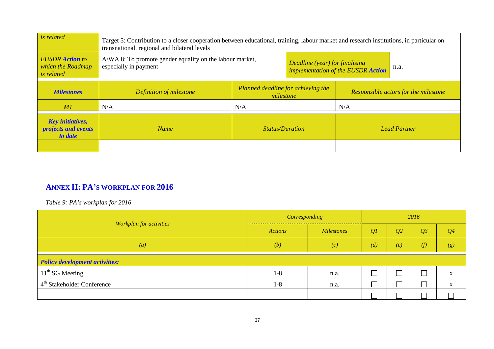| <i>is related</i>                                                       | Target 5: Contribution to a closer cooperation between educational, training, labour market and research institutions, in particular on<br>transnational, regional and bilateral levels |                                                 |                                                                      |     |                                      |  |  |                     |  |
|-------------------------------------------------------------------------|-----------------------------------------------------------------------------------------------------------------------------------------------------------------------------------------|-------------------------------------------------|----------------------------------------------------------------------|-----|--------------------------------------|--|--|---------------------|--|
| <b>EUSDR</b> Action to<br>which the Roadmap<br><i>is related</i>        | A/WA 8: To promote gender equality on the labour market,<br>especially in payment                                                                                                       |                                                 | Deadline (year) for finalising<br>implementation of the EUSDR Action |     | n.a.                                 |  |  |                     |  |
| <b>Milestones</b>                                                       | Definition of milestone                                                                                                                                                                 | Planned deadline for achieving the<br>milestone |                                                                      |     | Responsible actors for the milestone |  |  |                     |  |
| MI                                                                      | N/A                                                                                                                                                                                     | N/A                                             |                                                                      | N/A |                                      |  |  |                     |  |
| <b>Key initiatives,</b><br><i>projects and events</i><br><i>to date</i> | <b>Name</b>                                                                                                                                                                             | <b>Status/Duration</b>                          |                                                                      |     |                                      |  |  | <b>Lead Partner</b> |  |
|                                                                         |                                                                                                                                                                                         |                                                 |                                                                      |     |                                      |  |  |                     |  |

# **ANNEX II: PA'S WORKPLAN FOR 2016**

*Table 9: PA's workplan for 2016* 

|                                        | Corresponding  |                   | 2016 |                |     |                           |  |  |
|----------------------------------------|----------------|-------------------|------|----------------|-----|---------------------------|--|--|
| Workplan for activities                | <b>Actions</b> | <b>Milestones</b> | Q1   | Q <sub>2</sub> | Q3  | Q <sub>4</sub>            |  |  |
| $\left( a\right)$                      | (b)            | (c)               | (d)  | (e)            | (f) | (g)                       |  |  |
| <b>Policy development activities:</b>  |                |                   |      |                |     |                           |  |  |
| $11th$ SG Meeting                      | $1-8$          | n.a.              |      |                |     | $\mathbf{A}$              |  |  |
| 4 <sup>th</sup> Stakeholder Conference | $1 - 8$        | n.a.              |      |                |     | $\mathbf{v}$<br>$\Lambda$ |  |  |
|                                        |                |                   |      |                |     |                           |  |  |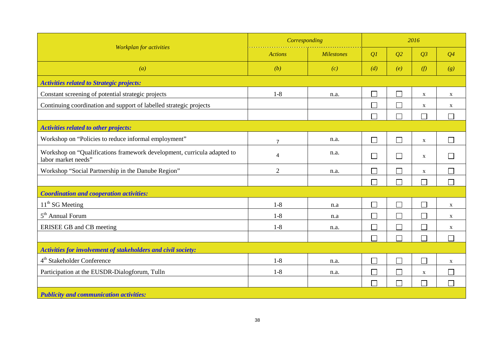|                                                                                                | Corresponding  | 2016              |                          |                             |                             |                             |
|------------------------------------------------------------------------------------------------|----------------|-------------------|--------------------------|-----------------------------|-----------------------------|-----------------------------|
| <b>Workplan</b> for activities                                                                 | <b>Actions</b> | <b>Milestones</b> | Q1                       | Q2                          | Q3                          | $Q_4$                       |
| $\left( a\right)$                                                                              | (b)            | (c)               | (d)                      | (e)                         | (f)                         | (g)                         |
| <b>Activities related to Strategic projects:</b>                                               |                |                   |                          |                             |                             |                             |
| Constant screening of potential strategic projects                                             | $1-8$          | n.a.              |                          |                             | $\mathbf X$                 | X                           |
| Continuing coordination and support of labelled strategic projects                             |                |                   | Г                        | Ξ                           | $\mathbf X$                 | $\mathbf{X}$                |
|                                                                                                |                |                   | П                        | $\sim$                      | $\mathcal{L}_{\mathcal{A}}$ | $\mathcal{L}_{\mathcal{A}}$ |
| <b>Activities related to other projects:</b>                                                   |                |                   |                          |                             |                             |                             |
| Workshop on "Policies to reduce informal employment"                                           | $\overline{7}$ | n.a.              | $\Box$                   | $\mathbf{L}$                | $\mathbf X$                 | $\Box$                      |
| Workshop on "Qualifications framework development, curricula adapted to<br>labor market needs" | $\overline{4}$ | n.a.              | $\mathbf{I}$             | $\vert \ \ \vert$           | $\mathbf X$                 | $\mathcal{L}$               |
| Workshop "Social Partnership in the Danube Region"                                             | $\overline{2}$ | n.a.              |                          | $\overline{\phantom{a}}$    | $\mathbf{X}$                | $\mathcal{L}_{\mathcal{A}}$ |
|                                                                                                |                |                   | Г                        |                             | П                           | $\mathcal{L}$               |
| <b>Coordination and cooperation activities:</b>                                                |                |                   |                          |                             |                             |                             |
| $11th$ SG Meeting                                                                              | $1 - 8$        | n.a               | $\mathbf{L}$             | L                           | $\mathcal{L}_{\mathcal{A}}$ | X                           |
| 5 <sup>th</sup> Annual Forum                                                                   | $1-8$          | n.a               |                          | $\mathcal{L}_{\mathcal{A}}$ | $\Box$                      | X                           |
| ERISEE GB and CB meeting                                                                       | $1-8$          | n.a.              | $\Box$                   | $\Box$                      | $\sim$                      | X                           |
|                                                                                                |                |                   | ┌                        | $\mathbb{R}^n$              | $\Box$                      | $\Box$                      |
| Activities for involvement of stakeholders and civil society:                                  |                |                   |                          |                             |                             |                             |
| 4 <sup>th</sup> Stakeholder Conference                                                         | $1 - 8$        | n.a.              | $\Box$                   | $\Box$                      | $\Box$                      | X                           |
| Participation at the EUSDR-Dialogforum, Tulln                                                  | $1-8$          | n.a.              | $\overline{\phantom{a}}$ | $\sim$                      | X                           | $\sim$                      |
|                                                                                                |                |                   | Г                        |                             | $\mathcal{L}_{\mathcal{A}}$ | $\Box$                      |
| <b>Publicity and communication activities:</b>                                                 |                |                   |                          |                             |                             |                             |